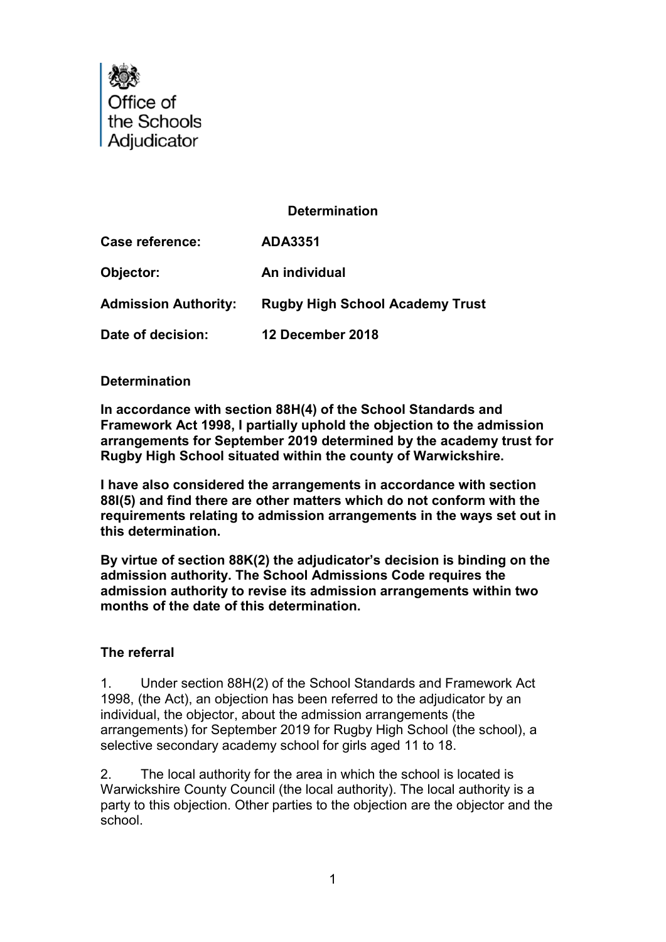

# Determination

Case reference: ADA3351 Objector: An individual Admission Authority: Rugby High School Academy Trust Date of decision: 12 December 2018

#### **Determination**

In accordance with section 88H(4) of the School Standards and Framework Act 1998, I partially uphold the objection to the admission arrangements for September 2019 determined by the academy trust for Rugby High School situated within the county of Warwickshire.

I have also considered the arrangements in accordance with section 88I(5) and find there are other matters which do not conform with the requirements relating to admission arrangements in the ways set out in this determination.

By virtue of section 88K(2) the adjudicator's decision is binding on the admission authority. The School Admissions Code requires the admission authority to revise its admission arrangements within two months of the date of this determination.

### The referral

1. Under section 88H(2) of the School Standards and Framework Act 1998, (the Act), an objection has been referred to the adjudicator by an individual, the objector, about the admission arrangements (the arrangements) for September 2019 for Rugby High School (the school), a selective secondary academy school for girls aged 11 to 18.

2. The local authority for the area in which the school is located is Warwickshire County Council (the local authority). The local authority is a party to this objection. Other parties to the objection are the objector and the school.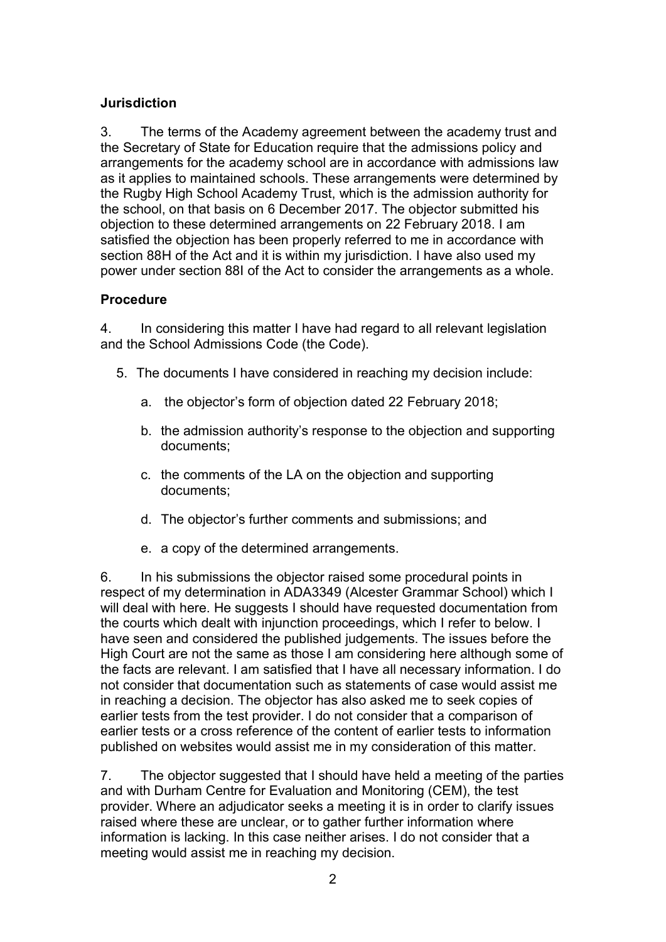# **Jurisdiction**

3. The terms of the Academy agreement between the academy trust and the Secretary of State for Education require that the admissions policy and arrangements for the academy school are in accordance with admissions law as it applies to maintained schools. These arrangements were determined by the Rugby High School Academy Trust, which is the admission authority for the school, on that basis on 6 December 2017. The objector submitted his objection to these determined arrangements on 22 February 2018. I am satisfied the objection has been properly referred to me in accordance with section 88H of the Act and it is within my jurisdiction. I have also used my power under section 88I of the Act to consider the arrangements as a whole.

### Procedure

4. In considering this matter I have had regard to all relevant legislation and the School Admissions Code (the Code).

- 5. The documents I have considered in reaching my decision include:
	- a. the objector's form of objection dated 22 February 2018;
	- b. the admission authority's response to the objection and supporting documents;
	- c. the comments of the LA on the objection and supporting documents;
	- d. The objector's further comments and submissions; and
	- e. a copy of the determined arrangements.

6. In his submissions the objector raised some procedural points in respect of my determination in ADA3349 (Alcester Grammar School) which I will deal with here. He suggests I should have requested documentation from the courts which dealt with injunction proceedings, which I refer to below. I have seen and considered the published judgements. The issues before the High Court are not the same as those I am considering here although some of the facts are relevant. I am satisfied that I have all necessary information. I do not consider that documentation such as statements of case would assist me in reaching a decision. The objector has also asked me to seek copies of earlier tests from the test provider. I do not consider that a comparison of earlier tests or a cross reference of the content of earlier tests to information published on websites would assist me in my consideration of this matter.

7. The objector suggested that I should have held a meeting of the parties and with Durham Centre for Evaluation and Monitoring (CEM), the test provider. Where an adjudicator seeks a meeting it is in order to clarify issues raised where these are unclear, or to gather further information where information is lacking. In this case neither arises. I do not consider that a meeting would assist me in reaching my decision.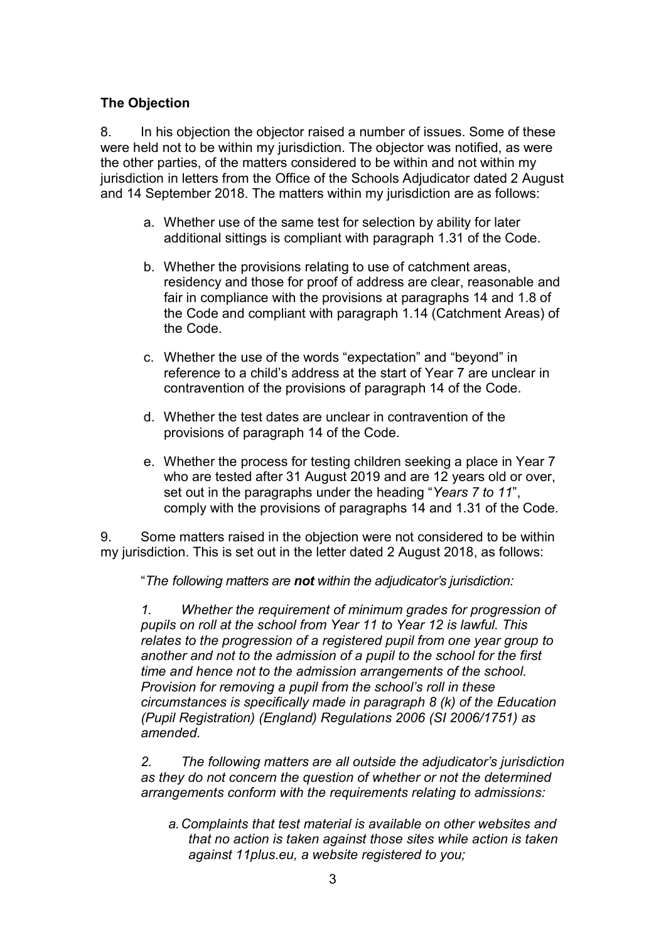# The Objection

8. In his objection the objector raised a number of issues. Some of these were held not to be within my jurisdiction. The objector was notified, as were the other parties, of the matters considered to be within and not within my jurisdiction in letters from the Office of the Schools Adjudicator dated 2 August and 14 September 2018. The matters within my jurisdiction are as follows:

- a. Whether use of the same test for selection by ability for later additional sittings is compliant with paragraph 1.31 of the Code.
- b. Whether the provisions relating to use of catchment areas, residency and those for proof of address are clear, reasonable and fair in compliance with the provisions at paragraphs 14 and 1.8 of the Code and compliant with paragraph 1.14 (Catchment Areas) of the Code.
- c. Whether the use of the words "expectation" and "beyond" in reference to a child's address at the start of Year 7 are unclear in contravention of the provisions of paragraph 14 of the Code.
- d. Whether the test dates are unclear in contravention of the provisions of paragraph 14 of the Code.
- e. Whether the process for testing children seeking a place in Year 7 who are tested after 31 August 2019 and are 12 years old or over, set out in the paragraphs under the heading "Years 7 to 11", comply with the provisions of paragraphs 14 and 1.31 of the Code.

9. Some matters raised in the objection were not considered to be within my jurisdiction. This is set out in the letter dated 2 August 2018, as follows:

"The following matters are not within the adjudicator's jurisdiction:

1. Whether the requirement of minimum grades for progression of pupils on roll at the school from Year 11 to Year 12 is lawful. This relates to the progression of a registered pupil from one year group to another and not to the admission of a pupil to the school for the first time and hence not to the admission arrangements of the school. Provision for removing a pupil from the school's roll in these circumstances is specifically made in paragraph 8 (k) of the Education (Pupil Registration) (England) Regulations 2006 (SI 2006/1751) as amended.

2. The following matters are all outside the adjudicator's jurisdiction as they do not concern the question of whether or not the determined arrangements conform with the requirements relating to admissions:

a. Complaints that test material is available on other websites and that no action is taken against those sites while action is taken against 11plus.eu, a website registered to you;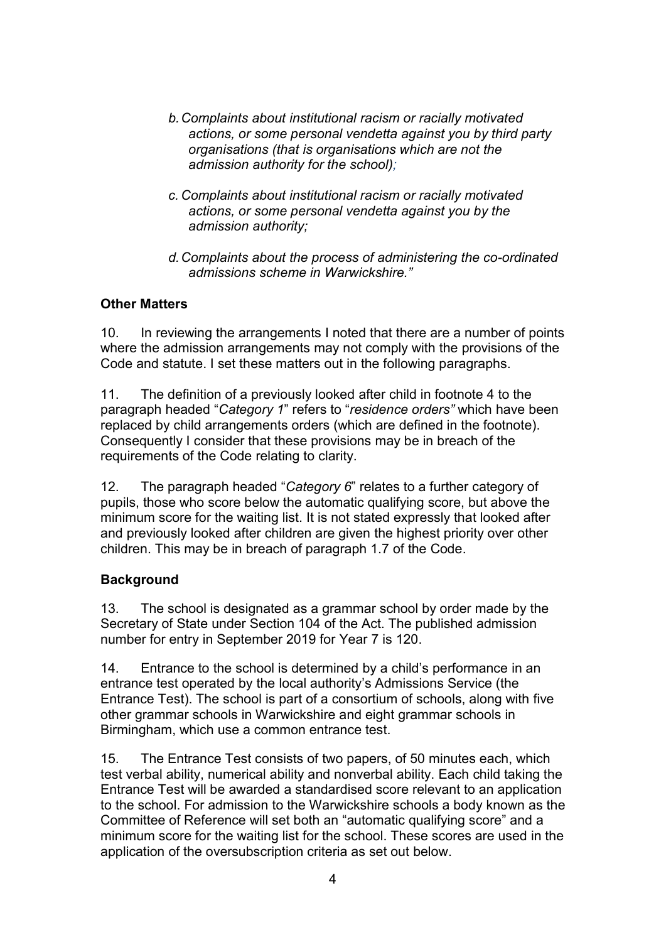- b. Complaints about institutional racism or racially motivated actions, or some personal vendetta against you by third party organisations (that is organisations which are not the admission authority for the school);
- c. Complaints about institutional racism or racially motivated actions, or some personal vendetta against you by the admission authority;
- d. Complaints about the process of administering the co-ordinated admissions scheme in Warwickshire."

# Other Matters

10. In reviewing the arrangements I noted that there are a number of points where the admission arrangements may not comply with the provisions of the Code and statute. I set these matters out in the following paragraphs.

11. The definition of a previously looked after child in footnote 4 to the paragraph headed "Category 1" refers to "residence orders" which have been replaced by child arrangements orders (which are defined in the footnote). Consequently I consider that these provisions may be in breach of the requirements of the Code relating to clarity.

12. The paragraph headed "Category 6" relates to a further category of pupils, those who score below the automatic qualifying score, but above the minimum score for the waiting list. It is not stated expressly that looked after and previously looked after children are given the highest priority over other children. This may be in breach of paragraph 1.7 of the Code.

# **Background**

13. The school is designated as a grammar school by order made by the Secretary of State under Section 104 of the Act. The published admission number for entry in September 2019 for Year 7 is 120.

14. Entrance to the school is determined by a child's performance in an entrance test operated by the local authority's Admissions Service (the Entrance Test). The school is part of a consortium of schools, along with five other grammar schools in Warwickshire and eight grammar schools in Birmingham, which use a common entrance test.

15. The Entrance Test consists of two papers, of 50 minutes each, which test verbal ability, numerical ability and nonverbal ability. Each child taking the Entrance Test will be awarded a standardised score relevant to an application to the school. For admission to the Warwickshire schools a body known as the Committee of Reference will set both an "automatic qualifying score" and a minimum score for the waiting list for the school. These scores are used in the application of the oversubscription criteria as set out below.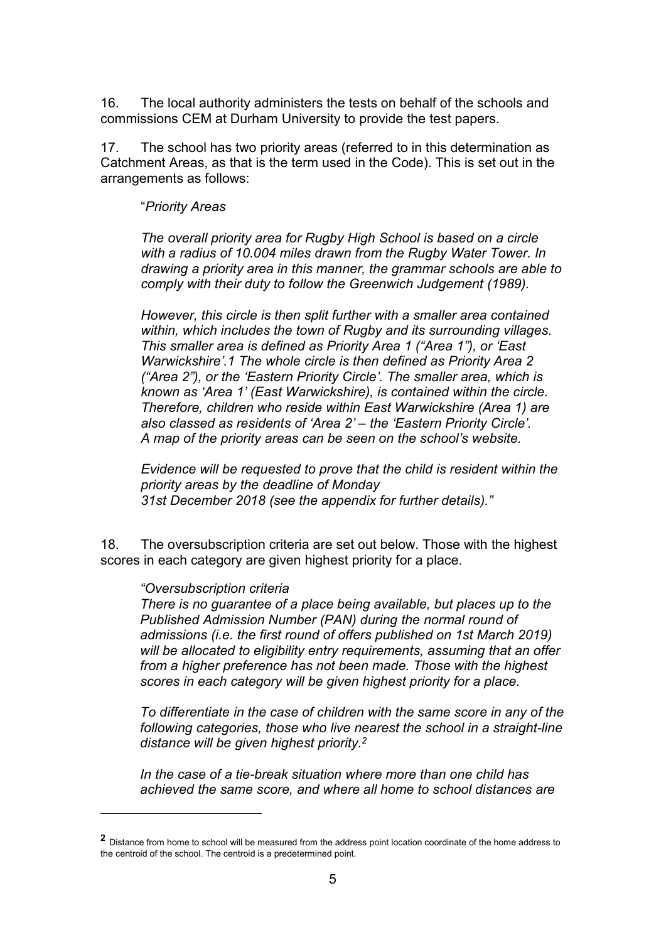16. The local authority administers the tests on behalf of the schools and commissions CEM at Durham University to provide the test papers.

17. The school has two priority areas (referred to in this determination as Catchment Areas, as that is the term used in the Code). This is set out in the arrangements as follows:

#### "Priority Areas

The overall priority area for Rugby High School is based on a circle with a radius of 10.004 miles drawn from the Rugby Water Tower. In drawing a priority area in this manner, the grammar schools are able to comply with their duty to follow the Greenwich Judgement (1989).

However, this circle is then split further with a smaller area contained within, which includes the town of Rugby and its surrounding villages. This smaller area is defined as Priority Area 1 ("Area 1"), or 'East Warwickshire'.1 The whole circle is then defined as Priority Area 2 ("Area 2"), or the 'Eastern Priority Circle'. The smaller area, which is known as 'Area 1' (East Warwickshire), is contained within the circle. Therefore, children who reside within East Warwickshire (Area 1) are also classed as residents of 'Area 2' – the 'Eastern Priority Circle'. A map of the priority areas can be seen on the school's website.

Evidence will be requested to prove that the child is resident within the priority areas by the deadline of Monday 31st December 2018 (see the appendix for further details)."

18. The oversubscription criteria are set out below. Those with the highest scores in each category are given highest priority for a place.

#### "Oversubscription criteria

i<br>I

There is no guarantee of a place being available, but places up to the Published Admission Number (PAN) during the normal round of admissions (i.e. the first round of offers published on 1st March 2019) will be allocated to eligibility entry requirements, assuming that an offer from a higher preference has not been made. Those with the highest scores in each category will be given highest priority for a place.

To differentiate in the case of children with the same score in any of the following categories, those who live nearest the school in a straight-line distance will be given highest priority.<sup>2</sup>

In the case of a tie-break situation where more than one child has achieved the same score, and where all home to school distances are

<sup>2</sup> Distance from home to school will be measured from the address point location coordinate of the home address to the centroid of the school. The centroid is a predetermined point.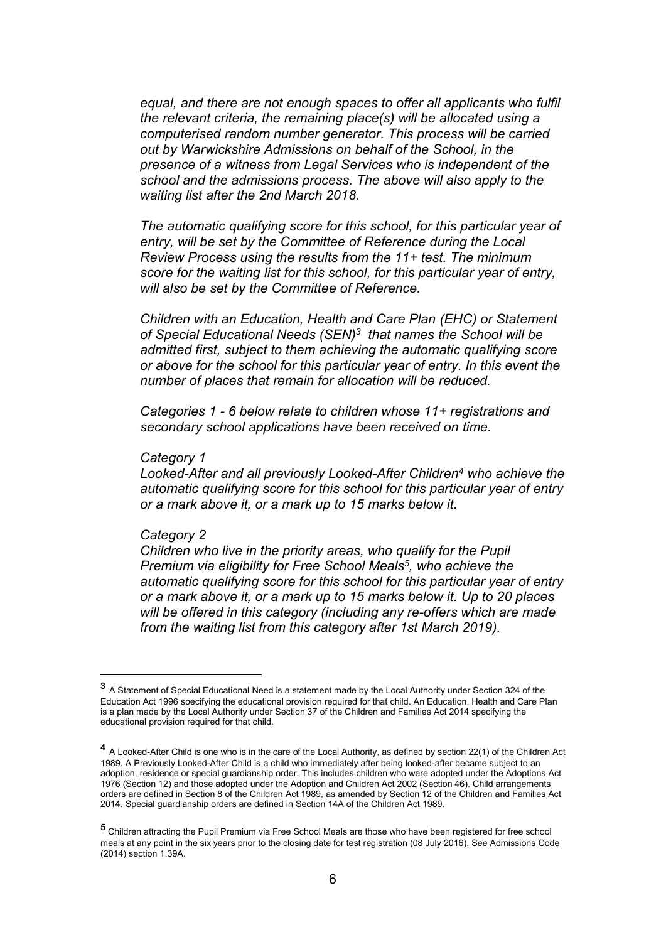equal, and there are not enough spaces to offer all applicants who fulfil the relevant criteria, the remaining place(s) will be allocated using a computerised random number generator. This process will be carried out by Warwickshire Admissions on behalf of the School, in the presence of a witness from Legal Services who is independent of the school and the admissions process. The above will also apply to the waiting list after the 2nd March 2018.

The automatic qualifying score for this school, for this particular year of entry, will be set by the Committee of Reference during the Local Review Process using the results from the 11+ test. The minimum score for the waiting list for this school, for this particular year of entry, will also be set by the Committee of Reference.

Children with an Education, Health and Care Plan (EHC) or Statement of Special Educational Needs (SEN)<sup>3</sup> that names the School will be admitted first, subject to them achieving the automatic qualifying score or above for the school for this particular year of entry. In this event the number of places that remain for allocation will be reduced.

Categories 1 - 6 below relate to children whose 11+ registrations and secondary school applications have been received on time.

#### Category 1

Looked-After and all previously Looked-After Children<sup>4</sup> who achieve the automatic qualifying score for this school for this particular year of entry or a mark above it, or a mark up to 15 marks below it.

#### Category 2

l,

Children who live in the priority areas, who qualify for the Pupil Premium via eligibility for Free School Meals<sup>5</sup>, who achieve the automatic qualifying score for this school for this particular year of entry or a mark above it, or a mark up to 15 marks below it. Up to 20 places will be offered in this category (including any re-offers which are made from the waiting list from this category after 1st March 2019).

<sup>3</sup> A Statement of Special Educational Need is a statement made by the Local Authority under Section 324 of the Education Act 1996 specifying the educational provision required for that child. An Education, Health and Care Plan is a plan made by the Local Authority under Section 37 of the Children and Families Act 2014 specifying the educational provision required for that child.

<sup>&</sup>lt;sup>4</sup> A Looked-After Child is one who is in the care of the Local Authority, as defined by section 22(1) of the Children Act 1989. A Previously Looked-After Child is a child who immediately after being looked-after became subject to an adoption, residence or special guardianship order. This includes children who were adopted under the Adoptions Act 1976 (Section 12) and those adopted under the Adoption and Children Act 2002 (Section 46). Child arrangements orders are defined in Section 8 of the Children Act 1989, as amended by Section 12 of the Children and Families Act 2014. Special guardianship orders are defined in Section 14A of the Children Act 1989.

<sup>5</sup> Children attracting the Pupil Premium via Free School Meals are those who have been registered for free school meals at any point in the six years prior to the closing date for test registration (08 July 2016). See Admissions Code (2014) section 1.39A.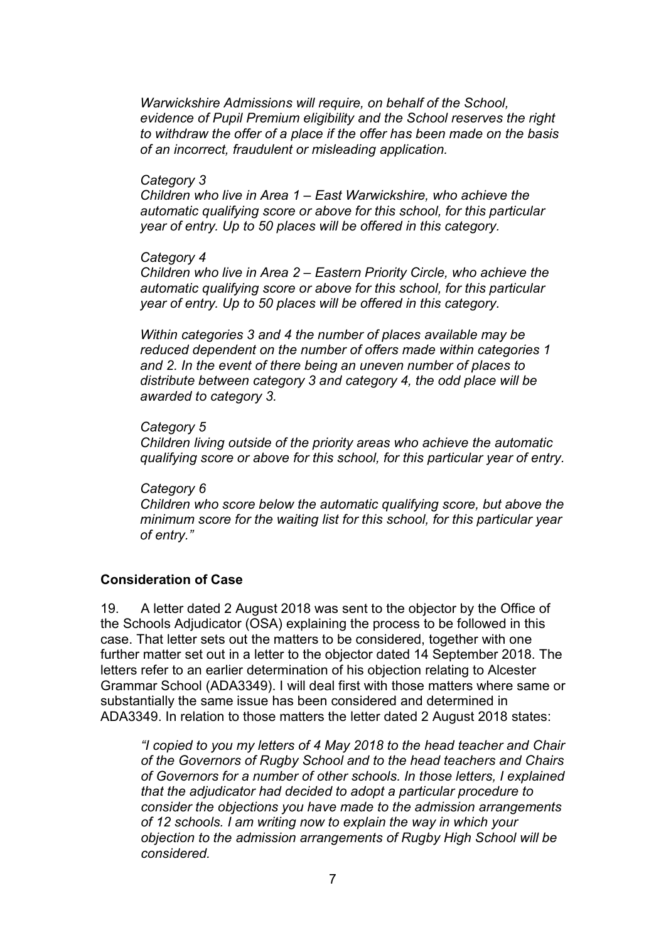Warwickshire Admissions will require, on behalf of the School, evidence of Pupil Premium eligibility and the School reserves the right to withdraw the offer of a place if the offer has been made on the basis of an incorrect, fraudulent or misleading application.

#### Category 3

Children who live in Area 1 – East Warwickshire, who achieve the automatic qualifying score or above for this school, for this particular year of entry. Up to 50 places will be offered in this category.

#### Category 4

Children who live in Area 2 – Eastern Priority Circle, who achieve the automatic qualifying score or above for this school, for this particular year of entry. Up to 50 places will be offered in this category.

Within categories 3 and 4 the number of places available may be reduced dependent on the number of offers made within categories 1 and 2. In the event of there being an uneven number of places to distribute between category 3 and category 4, the odd place will be awarded to category 3.

#### Category 5

Children living outside of the priority areas who achieve the automatic qualifying score or above for this school, for this particular year of entry.

#### Category 6

Children who score below the automatic qualifying score, but above the minimum score for the waiting list for this school, for this particular year of entry."

### Consideration of Case

19. A letter dated 2 August 2018 was sent to the objector by the Office of the Schools Adjudicator (OSA) explaining the process to be followed in this case. That letter sets out the matters to be considered, together with one further matter set out in a letter to the objector dated 14 September 2018. The letters refer to an earlier determination of his objection relating to Alcester Grammar School (ADA3349). I will deal first with those matters where same or substantially the same issue has been considered and determined in ADA3349. In relation to those matters the letter dated 2 August 2018 states:

"I copied to you my letters of 4 May 2018 to the head teacher and Chair of the Governors of Rugby School and to the head teachers and Chairs of Governors for a number of other schools. In those letters, I explained that the adjudicator had decided to adopt a particular procedure to consider the objections you have made to the admission arrangements of 12 schools. I am writing now to explain the way in which your objection to the admission arrangements of Rugby High School will be considered.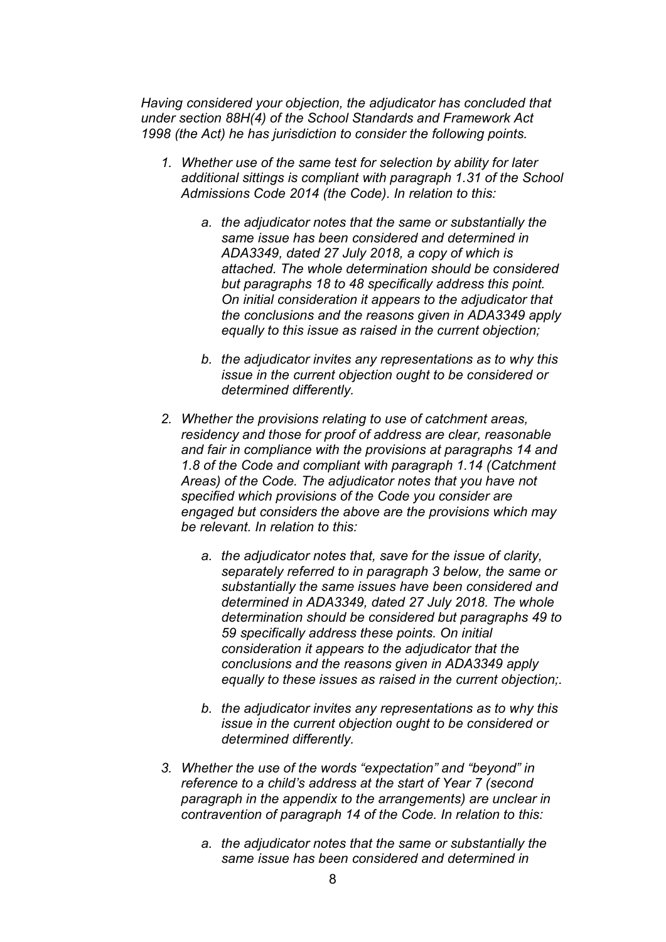Having considered your objection, the adjudicator has concluded that under section 88H(4) of the School Standards and Framework Act 1998 (the Act) he has jurisdiction to consider the following points.

- 1. Whether use of the same test for selection by ability for later additional sittings is compliant with paragraph 1.31 of the School Admissions Code 2014 (the Code). In relation to this:
	- a. the adjudicator notes that the same or substantially the same issue has been considered and determined in ADA3349, dated 27 July 2018, a copy of which is attached. The whole determination should be considered but paragraphs 18 to 48 specifically address this point. On initial consideration it appears to the adjudicator that the conclusions and the reasons given in ADA3349 apply equally to this issue as raised in the current objection;
	- b. the adjudicator invites any representations as to why this issue in the current objection ought to be considered or determined differently.
- 2. Whether the provisions relating to use of catchment areas, residency and those for proof of address are clear, reasonable and fair in compliance with the provisions at paragraphs 14 and 1.8 of the Code and compliant with paragraph 1.14 (Catchment Areas) of the Code. The adjudicator notes that you have not specified which provisions of the Code you consider are engaged but considers the above are the provisions which may be relevant. In relation to this:
	- a. the adjudicator notes that, save for the issue of clarity, separately referred to in paragraph 3 below, the same or substantially the same issues have been considered and determined in ADA3349, dated 27 July 2018. The whole determination should be considered but paragraphs 49 to 59 specifically address these points. On initial consideration it appears to the adjudicator that the conclusions and the reasons given in ADA3349 apply equally to these issues as raised in the current objection;.
	- b. the adjudicator invites any representations as to why this issue in the current objection ought to be considered or determined differently.
- 3. Whether the use of the words "expectation" and "beyond" in reference to a child's address at the start of Year 7 (second paragraph in the appendix to the arrangements) are unclear in contravention of paragraph 14 of the Code. In relation to this:
	- a. the adjudicator notes that the same or substantially the same issue has been considered and determined in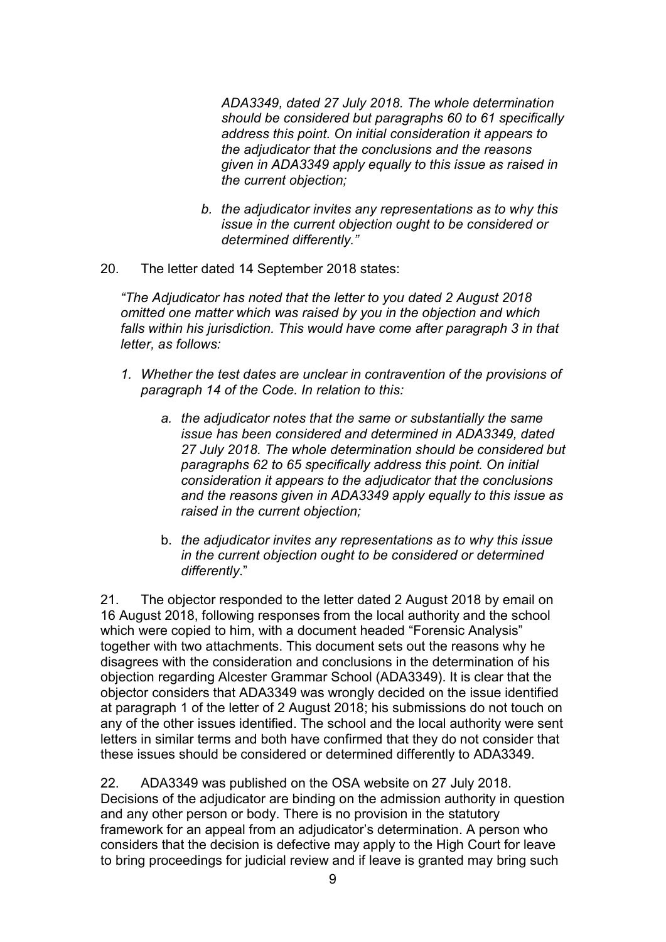ADA3349, dated 27 July 2018. The whole determination should be considered but paragraphs 60 to 61 specifically address this point. On initial consideration it appears to the adjudicator that the conclusions and the reasons given in ADA3349 apply equally to this issue as raised in the current objection;

- b. the adjudicator invites any representations as to why this issue in the current objection ought to be considered or determined differently."
- 20. The letter dated 14 September 2018 states:

"The Adjudicator has noted that the letter to you dated 2 August 2018 omitted one matter which was raised by you in the objection and which falls within his jurisdiction. This would have come after paragraph 3 in that letter, as follows:

- 1. Whether the test dates are unclear in contravention of the provisions of paragraph 14 of the Code. In relation to this:
	- a. the adjudicator notes that the same or substantially the same issue has been considered and determined in ADA3349, dated 27 July 2018. The whole determination should be considered but paragraphs 62 to 65 specifically address this point. On initial consideration it appears to the adjudicator that the conclusions and the reasons given in ADA3349 apply equally to this issue as raised in the current objection;
	- b. the adjudicator invites any representations as to why this issue in the current objection ought to be considered or determined differently."

21. The objector responded to the letter dated 2 August 2018 by email on 16 August 2018, following responses from the local authority and the school which were copied to him, with a document headed "Forensic Analysis" together with two attachments. This document sets out the reasons why he disagrees with the consideration and conclusions in the determination of his objection regarding Alcester Grammar School (ADA3349). It is clear that the objector considers that ADA3349 was wrongly decided on the issue identified at paragraph 1 of the letter of 2 August 2018; his submissions do not touch on any of the other issues identified. The school and the local authority were sent letters in similar terms and both have confirmed that they do not consider that these issues should be considered or determined differently to ADA3349.

22. ADA3349 was published on the OSA website on 27 July 2018. Decisions of the adjudicator are binding on the admission authority in question and any other person or body. There is no provision in the statutory framework for an appeal from an adjudicator's determination. A person who considers that the decision is defective may apply to the High Court for leave to bring proceedings for judicial review and if leave is granted may bring such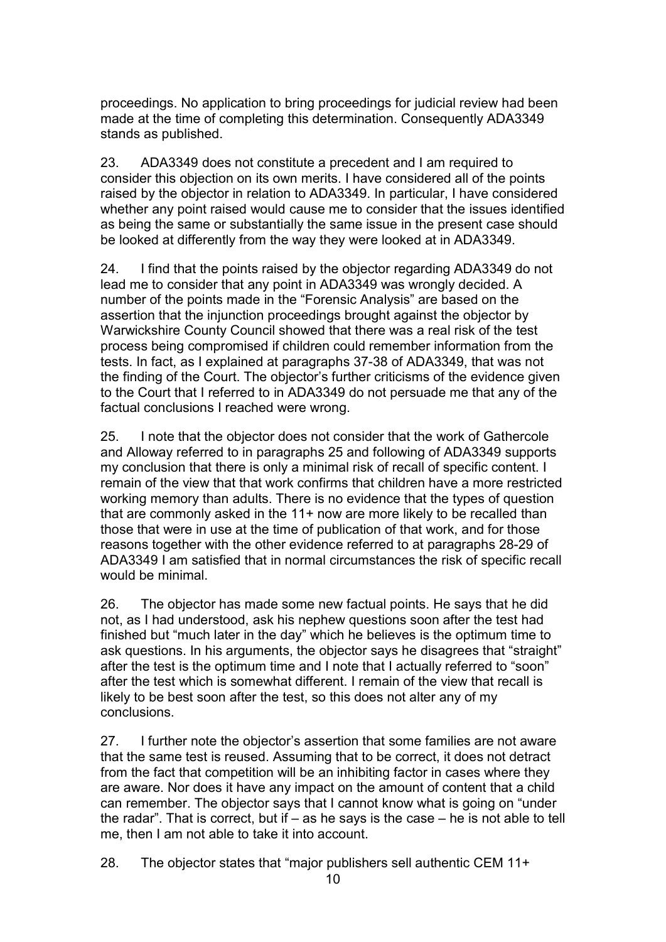proceedings. No application to bring proceedings for judicial review had been made at the time of completing this determination. Consequently ADA3349 stands as published.

23. ADA3349 does not constitute a precedent and I am required to consider this objection on its own merits. I have considered all of the points raised by the objector in relation to ADA3349. In particular, I have considered whether any point raised would cause me to consider that the issues identified as being the same or substantially the same issue in the present case should be looked at differently from the way they were looked at in ADA3349.

24. I find that the points raised by the objector regarding ADA3349 do not lead me to consider that any point in ADA3349 was wrongly decided. A number of the points made in the "Forensic Analysis" are based on the assertion that the injunction proceedings brought against the objector by Warwickshire County Council showed that there was a real risk of the test process being compromised if children could remember information from the tests. In fact, as I explained at paragraphs 37-38 of ADA3349, that was not the finding of the Court. The objector's further criticisms of the evidence given to the Court that I referred to in ADA3349 do not persuade me that any of the factual conclusions I reached were wrong.

25. I note that the objector does not consider that the work of Gathercole and Alloway referred to in paragraphs 25 and following of ADA3349 supports my conclusion that there is only a minimal risk of recall of specific content. I remain of the view that that work confirms that children have a more restricted working memory than adults. There is no evidence that the types of question that are commonly asked in the 11+ now are more likely to be recalled than those that were in use at the time of publication of that work, and for those reasons together with the other evidence referred to at paragraphs 28-29 of ADA3349 I am satisfied that in normal circumstances the risk of specific recall would be minimal.

26. The objector has made some new factual points. He says that he did not, as I had understood, ask his nephew questions soon after the test had finished but "much later in the day" which he believes is the optimum time to ask questions. In his arguments, the objector says he disagrees that "straight" after the test is the optimum time and I note that I actually referred to "soon" after the test which is somewhat different. I remain of the view that recall is likely to be best soon after the test, so this does not alter any of my conclusions.

27. I further note the objector's assertion that some families are not aware that the same test is reused. Assuming that to be correct, it does not detract from the fact that competition will be an inhibiting factor in cases where they are aware. Nor does it have any impact on the amount of content that a child can remember. The objector says that I cannot know what is going on "under the radar". That is correct, but if  $-$  as he says is the case  $-$  he is not able to tell me, then I am not able to take it into account.

28. The objector states that "major publishers sell authentic CEM 11+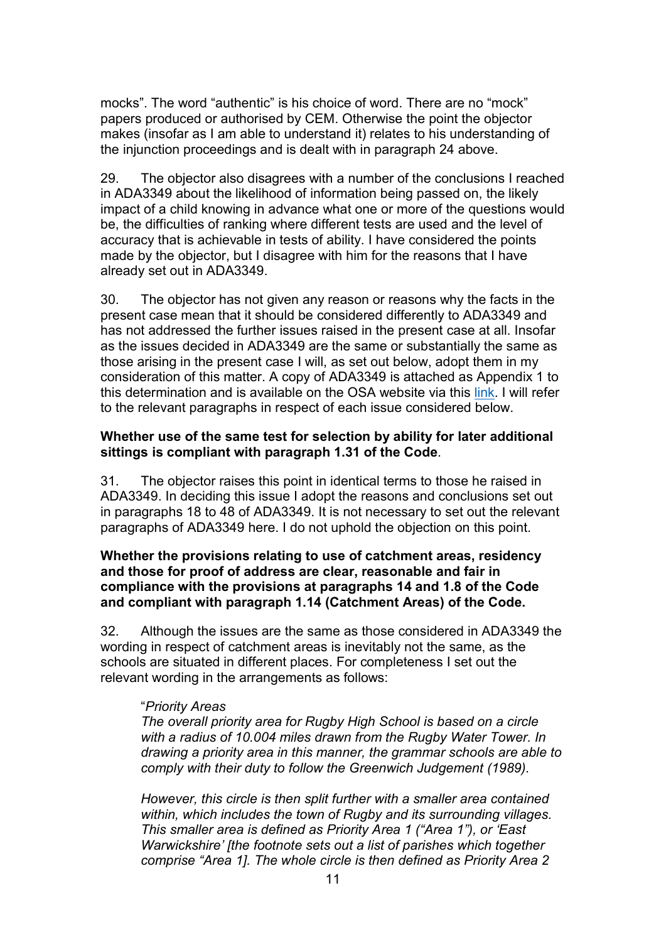mocks". The word "authentic" is his choice of word. There are no "mock" papers produced or authorised by CEM. Otherwise the point the objector makes (insofar as I am able to understand it) relates to his understanding of the injunction proceedings and is dealt with in paragraph 24 above.

29. The objector also disagrees with a number of the conclusions I reached in ADA3349 about the likelihood of information being passed on, the likely impact of a child knowing in advance what one or more of the questions would be, the difficulties of ranking where different tests are used and the level of accuracy that is achievable in tests of ability. I have considered the points made by the objector, but I disagree with him for the reasons that I have already set out in ADA3349.

30. The objector has not given any reason or reasons why the facts in the present case mean that it should be considered differently to ADA3349 and has not addressed the further issues raised in the present case at all. Insofar as the issues decided in ADA3349 are the same or substantially the same as those arising in the present case I will, as set out below, adopt them in my consideration of this matter. A copy of ADA3349 is attached as Appendix 1 to this determination and is available on the OSA website via this link. I will refer to the relevant paragraphs in respect of each issue considered below.

## Whether use of the same test for selection by ability for later additional sittings is compliant with paragraph 1.31 of the Code.

31. The objector raises this point in identical terms to those he raised in ADA3349. In deciding this issue I adopt the reasons and conclusions set out in paragraphs 18 to 48 of ADA3349. It is not necessary to set out the relevant paragraphs of ADA3349 here. I do not uphold the objection on this point.

### Whether the provisions relating to use of catchment areas, residency and those for proof of address are clear, reasonable and fair in compliance with the provisions at paragraphs 14 and 1.8 of the Code and compliant with paragraph 1.14 (Catchment Areas) of the Code.

32. Although the issues are the same as those considered in ADA3349 the wording in respect of catchment areas is inevitably not the same, as the schools are situated in different places. For completeness I set out the relevant wording in the arrangements as follows:

### "Priority Areas

The overall priority area for Rugby High School is based on a circle with a radius of 10.004 miles drawn from the Rugby Water Tower. In drawing a priority area in this manner, the grammar schools are able to comply with their duty to follow the Greenwich Judgement (1989).

However, this circle is then split further with a smaller area contained within, which includes the town of Rugby and its surrounding villages. This smaller area is defined as Priority Area 1 ("Area 1"), or 'East Warwickshire' [the footnote sets out a list of parishes which together comprise "Area 1]. The whole circle is then defined as Priority Area 2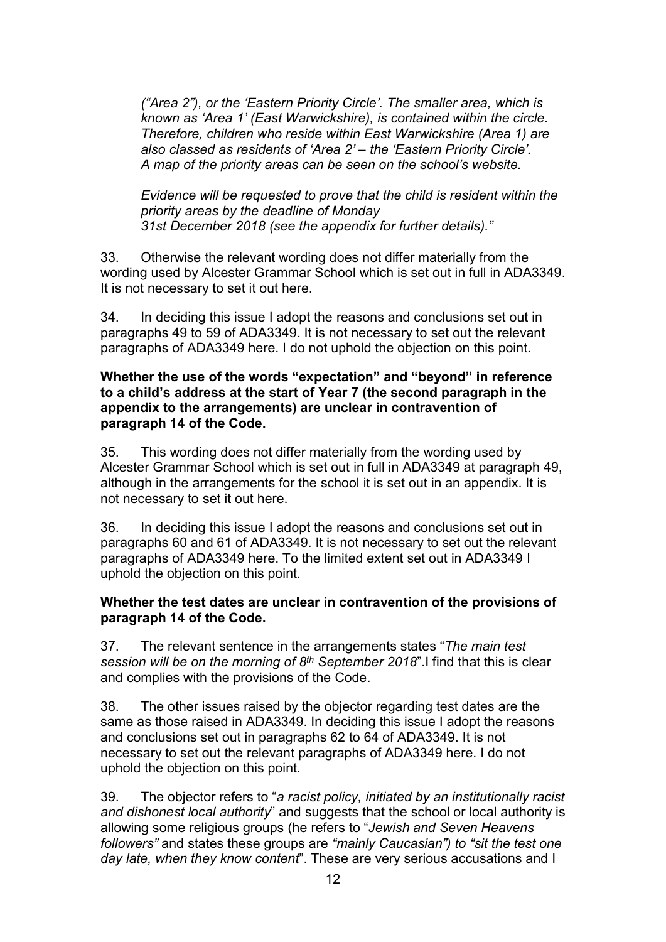("Area 2"), or the 'Eastern Priority Circle'. The smaller area, which is known as 'Area 1' (East Warwickshire), is contained within the circle. Therefore, children who reside within East Warwickshire (Area 1) are also classed as residents of 'Area 2' – the 'Eastern Priority Circle'. A map of the priority areas can be seen on the school's website.

Evidence will be requested to prove that the child is resident within the priority areas by the deadline of Monday 31st December 2018 (see the appendix for further details)."

33. Otherwise the relevant wording does not differ materially from the wording used by Alcester Grammar School which is set out in full in ADA3349. It is not necessary to set it out here.

34. In deciding this issue I adopt the reasons and conclusions set out in paragraphs 49 to 59 of ADA3349. It is not necessary to set out the relevant paragraphs of ADA3349 here. I do not uphold the objection on this point.

#### Whether the use of the words "expectation" and "beyond" in reference to a child's address at the start of Year 7 (the second paragraph in the appendix to the arrangements) are unclear in contravention of paragraph 14 of the Code.

35. This wording does not differ materially from the wording used by Alcester Grammar School which is set out in full in ADA3349 at paragraph 49, although in the arrangements for the school it is set out in an appendix. It is not necessary to set it out here.

36. In deciding this issue I adopt the reasons and conclusions set out in paragraphs 60 and 61 of ADA3349. It is not necessary to set out the relevant paragraphs of ADA3349 here. To the limited extent set out in ADA3349 I uphold the objection on this point.

### Whether the test dates are unclear in contravention of the provisions of paragraph 14 of the Code.

37. The relevant sentence in the arrangements states "The main test" session will be on the morning of  $8<sup>th</sup>$  September 2018". I find that this is clear and complies with the provisions of the Code.

38. The other issues raised by the objector regarding test dates are the same as those raised in ADA3349. In deciding this issue I adopt the reasons and conclusions set out in paragraphs 62 to 64 of ADA3349. It is not necessary to set out the relevant paragraphs of ADA3349 here. I do not uphold the objection on this point.

39. The objector refers to "a racist policy, initiated by an institutionally racist and dishonest local authority" and suggests that the school or local authority is allowing some religious groups (he refers to "Jewish and Seven Heavens followers" and states these groups are "mainly Caucasian") to "sit the test one day late, when they know content". These are very serious accusations and I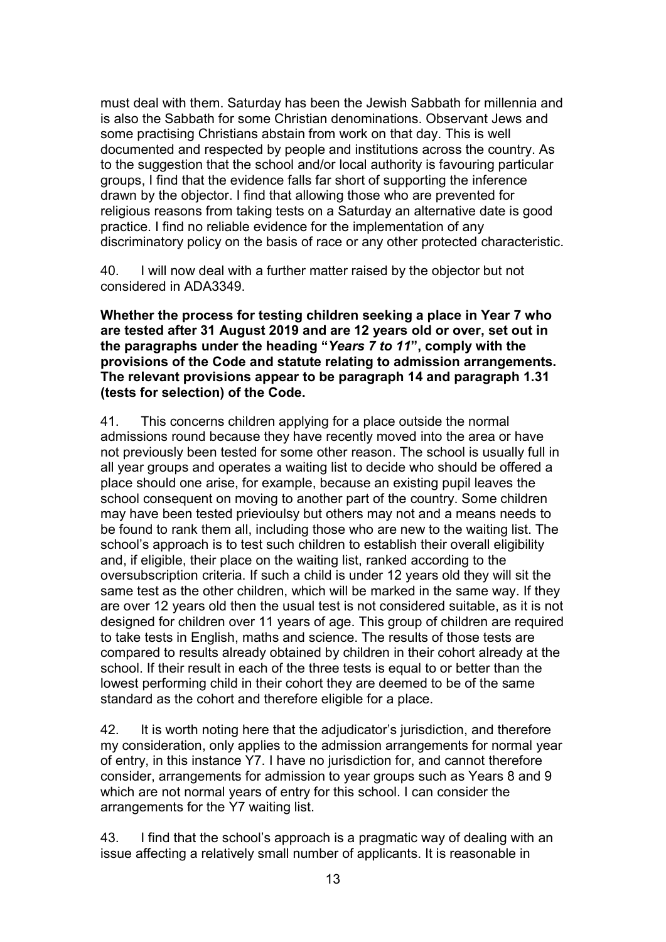must deal with them. Saturday has been the Jewish Sabbath for millennia and is also the Sabbath for some Christian denominations. Observant Jews and some practising Christians abstain from work on that day. This is well documented and respected by people and institutions across the country. As to the suggestion that the school and/or local authority is favouring particular groups, I find that the evidence falls far short of supporting the inference drawn by the objector. I find that allowing those who are prevented for religious reasons from taking tests on a Saturday an alternative date is good practice. I find no reliable evidence for the implementation of any discriminatory policy on the basis of race or any other protected characteristic.

40. I will now deal with a further matter raised by the objector but not considered in ADA3349.

Whether the process for testing children seeking a place in Year 7 who are tested after 31 August 2019 and are 12 years old or over, set out in the paragraphs under the heading "Years 7 to 11", comply with the provisions of the Code and statute relating to admission arrangements. The relevant provisions appear to be paragraph 14 and paragraph 1.31 (tests for selection) of the Code.

41. This concerns children applying for a place outside the normal admissions round because they have recently moved into the area or have not previously been tested for some other reason. The school is usually full in all year groups and operates a waiting list to decide who should be offered a place should one arise, for example, because an existing pupil leaves the school consequent on moving to another part of the country. Some children may have been tested prievioulsy but others may not and a means needs to be found to rank them all, including those who are new to the waiting list. The school's approach is to test such children to establish their overall eligibility and, if eligible, their place on the waiting list, ranked according to the oversubscription criteria. If such a child is under 12 years old they will sit the same test as the other children, which will be marked in the same way. If they are over 12 years old then the usual test is not considered suitable, as it is not designed for children over 11 years of age. This group of children are required to take tests in English, maths and science. The results of those tests are compared to results already obtained by children in their cohort already at the school. If their result in each of the three tests is equal to or better than the lowest performing child in their cohort they are deemed to be of the same standard as the cohort and therefore eligible for a place.

42. It is worth noting here that the adjudicator's jurisdiction, and therefore my consideration, only applies to the admission arrangements for normal year of entry, in this instance Y7. I have no jurisdiction for, and cannot therefore consider, arrangements for admission to year groups such as Years 8 and 9 which are not normal years of entry for this school. I can consider the arrangements for the Y7 waiting list.

43. I find that the school's approach is a pragmatic way of dealing with an issue affecting a relatively small number of applicants. It is reasonable in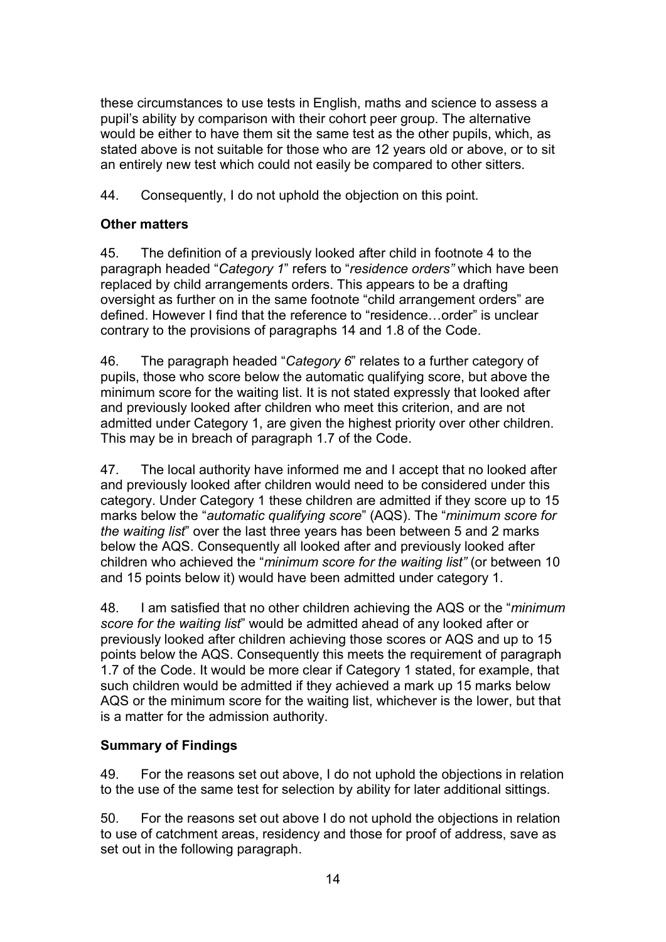these circumstances to use tests in English, maths and science to assess a pupil's ability by comparison with their cohort peer group. The alternative would be either to have them sit the same test as the other pupils, which, as stated above is not suitable for those who are 12 years old or above, or to sit an entirely new test which could not easily be compared to other sitters.

44. Consequently, I do not uphold the objection on this point.

# Other matters

45. The definition of a previously looked after child in footnote 4 to the paragraph headed "Category 1" refers to "residence orders" which have been replaced by child arrangements orders. This appears to be a drafting oversight as further on in the same footnote "child arrangement orders" are defined. However I find that the reference to "residence…order" is unclear contrary to the provisions of paragraphs 14 and 1.8 of the Code.

46. The paragraph headed "Category 6" relates to a further category of pupils, those who score below the automatic qualifying score, but above the minimum score for the waiting list. It is not stated expressly that looked after and previously looked after children who meet this criterion, and are not admitted under Category 1, are given the highest priority over other children. This may be in breach of paragraph 1.7 of the Code.

47. The local authority have informed me and I accept that no looked after and previously looked after children would need to be considered under this category. Under Category 1 these children are admitted if they score up to 15 marks below the "automatic qualifying score" (AQS). The "minimum score for the waiting list" over the last three years has been between 5 and 2 marks below the AQS. Consequently all looked after and previously looked after children who achieved the "minimum score for the waiting list" (or between 10 and 15 points below it) would have been admitted under category 1.

48. I am satisfied that no other children achieving the AQS or the "*minimum* score for the waiting list" would be admitted ahead of any looked after or previously looked after children achieving those scores or AQS and up to 15 points below the AQS. Consequently this meets the requirement of paragraph 1.7 of the Code. It would be more clear if Category 1 stated, for example, that such children would be admitted if they achieved a mark up 15 marks below AQS or the minimum score for the waiting list, whichever is the lower, but that is a matter for the admission authority.

# Summary of Findings

49. For the reasons set out above, I do not uphold the objections in relation to the use of the same test for selection by ability for later additional sittings.

50. For the reasons set out above I do not uphold the objections in relation to use of catchment areas, residency and those for proof of address, save as set out in the following paragraph.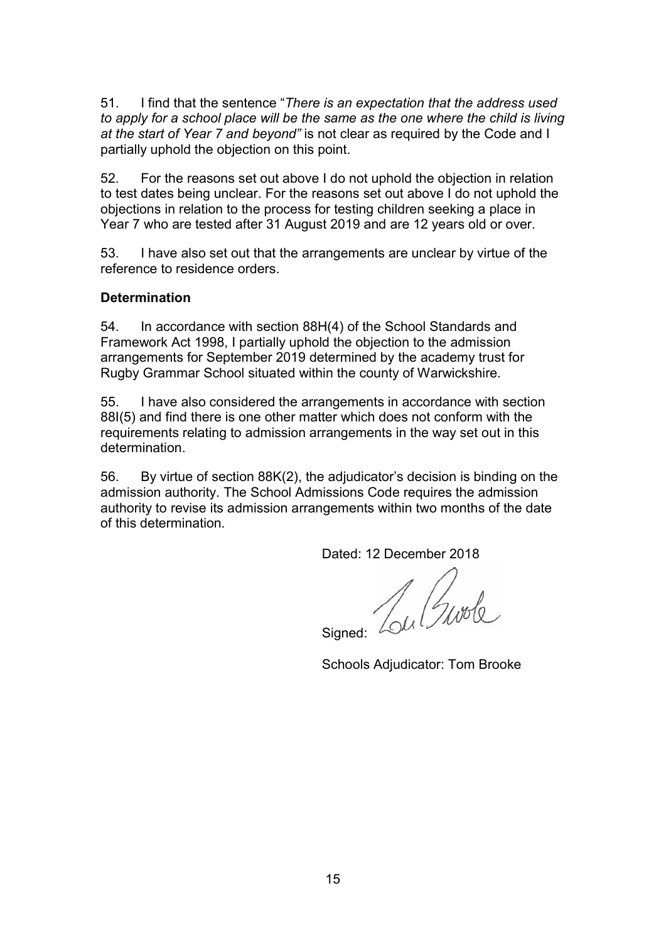51. I find that the sentence "There is an expectation that the address used to apply for a school place will be the same as the one where the child is living at the start of Year 7 and beyond" is not clear as required by the Code and I partially uphold the objection on this point.

52. For the reasons set out above I do not uphold the objection in relation to test dates being unclear. For the reasons set out above I do not uphold the objections in relation to the process for testing children seeking a place in Year 7 who are tested after 31 August 2019 and are 12 years old or over.

53. I have also set out that the arrangements are unclear by virtue of the reference to residence orders.

## **Determination**

54. In accordance with section 88H(4) of the School Standards and Framework Act 1998, I partially uphold the objection to the admission arrangements for September 2019 determined by the academy trust for Rugby Grammar School situated within the county of Warwickshire.

55. I have also considered the arrangements in accordance with section 88I(5) and find there is one other matter which does not conform with the requirements relating to admission arrangements in the way set out in this determination.

56. By virtue of section 88K(2), the adjudicator's decision is binding on the admission authority. The School Admissions Code requires the admission authority to revise its admission arrangements within two months of the date of this determination.

Dated: 12 December 2018

Signed: Low Gurde

Schools Adjudicator: Tom Brooke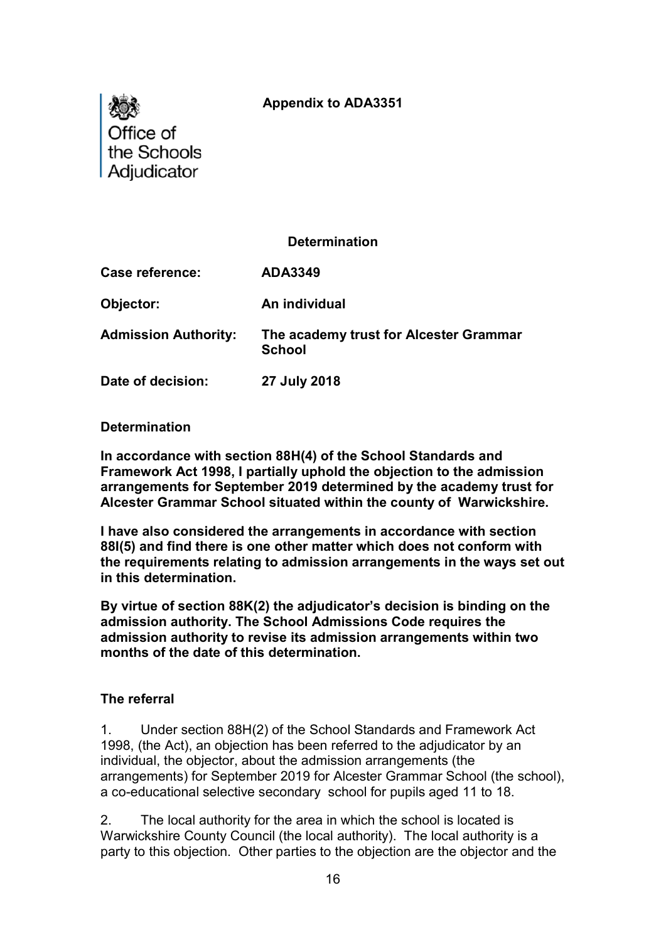# Appendix to ADA3351



### **Determination**

Case reference: ADA3349

Objector: An individual

Admission Authority: The academy trust for Alcester Grammar **School** 

Date of decision: 27 July 2018

#### Determination

In accordance with section 88H(4) of the School Standards and Framework Act 1998, I partially uphold the objection to the admission arrangements for September 2019 determined by the academy trust for Alcester Grammar School situated within the county of Warwickshire.

I have also considered the arrangements in accordance with section 88I(5) and find there is one other matter which does not conform with the requirements relating to admission arrangements in the ways set out in this determination.

By virtue of section 88K(2) the adjudicator's decision is binding on the admission authority. The School Admissions Code requires the admission authority to revise its admission arrangements within two months of the date of this determination.

### The referral

1. Under section 88H(2) of the School Standards and Framework Act 1998, (the Act), an objection has been referred to the adjudicator by an individual, the objector, about the admission arrangements (the arrangements) for September 2019 for Alcester Grammar School (the school), a co-educational selective secondary school for pupils aged 11 to 18.

2. The local authority for the area in which the school is located is Warwickshire County Council (the local authority). The local authority is a party to this objection. Other parties to the objection are the objector and the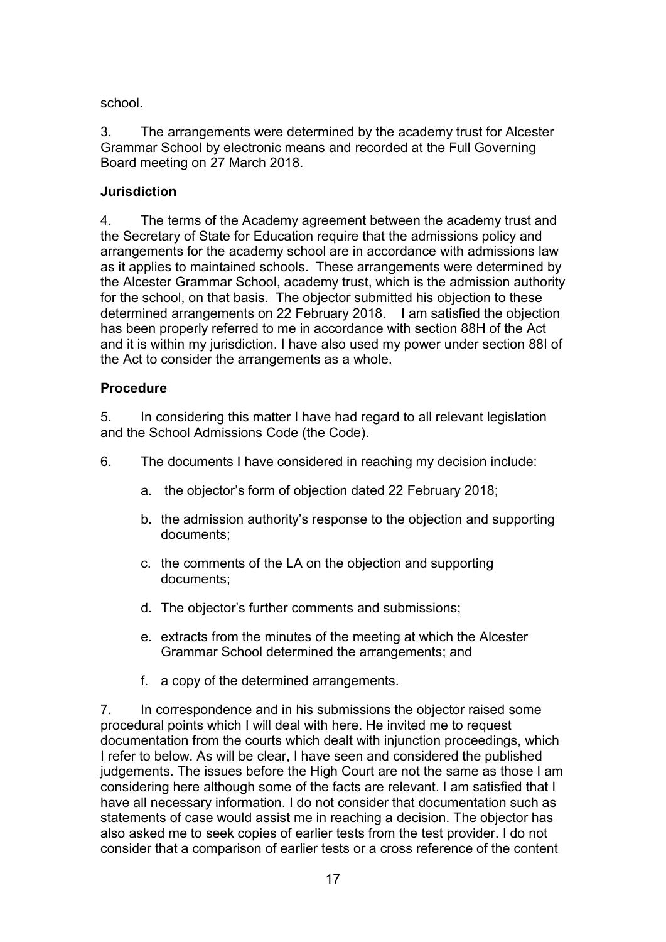school.

3. The arrangements were determined by the academy trust for Alcester Grammar School by electronic means and recorded at the Full Governing Board meeting on 27 March 2018.

# **Jurisdiction**

4. The terms of the Academy agreement between the academy trust and the Secretary of State for Education require that the admissions policy and arrangements for the academy school are in accordance with admissions law as it applies to maintained schools. These arrangements were determined by the Alcester Grammar School, academy trust, which is the admission authority for the school, on that basis. The objector submitted his objection to these determined arrangements on 22 February 2018. I am satisfied the objection has been properly referred to me in accordance with section 88H of the Act and it is within my jurisdiction. I have also used my power under section 88I of the Act to consider the arrangements as a whole.

# Procedure

5. In considering this matter I have had regard to all relevant legislation and the School Admissions Code (the Code).

- 6. The documents I have considered in reaching my decision include:
	- a. the objector's form of objection dated 22 February 2018;
	- b. the admission authority's response to the objection and supporting documents;
	- c. the comments of the LA on the objection and supporting documents;
	- d. The objector's further comments and submissions;
	- e. extracts from the minutes of the meeting at which the Alcester Grammar School determined the arrangements; and
	- f. a copy of the determined arrangements.

7. In correspondence and in his submissions the objector raised some procedural points which I will deal with here. He invited me to request documentation from the courts which dealt with injunction proceedings, which I refer to below. As will be clear, I have seen and considered the published judgements. The issues before the High Court are not the same as those I am considering here although some of the facts are relevant. I am satisfied that I have all necessary information. I do not consider that documentation such as statements of case would assist me in reaching a decision. The objector has also asked me to seek copies of earlier tests from the test provider. I do not consider that a comparison of earlier tests or a cross reference of the content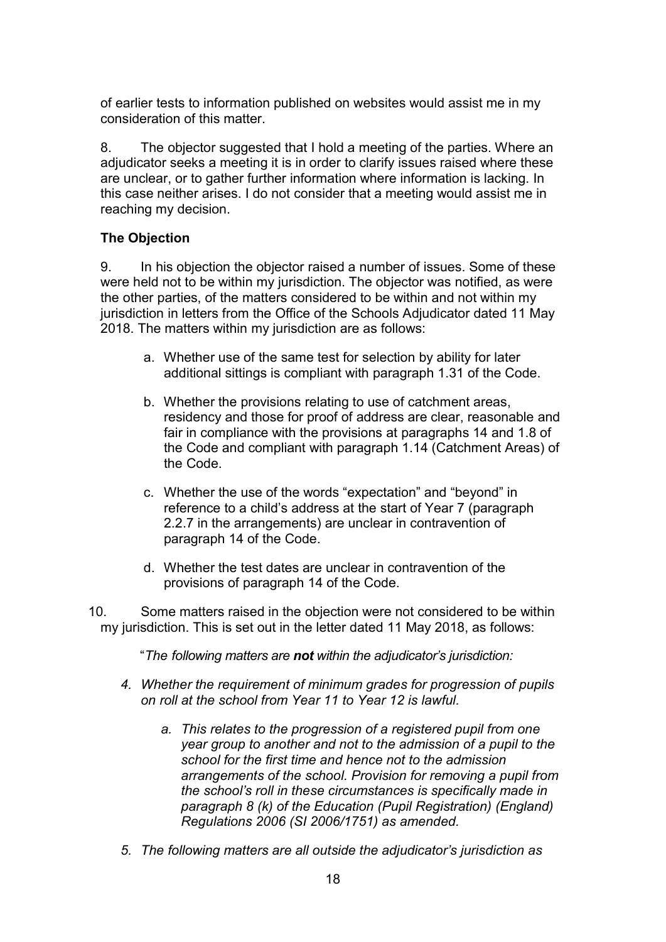of earlier tests to information published on websites would assist me in my consideration of this matter.

8. The objector suggested that I hold a meeting of the parties. Where an adjudicator seeks a meeting it is in order to clarify issues raised where these are unclear, or to gather further information where information is lacking. In this case neither arises. I do not consider that a meeting would assist me in reaching my decision.

# The Objection

9. In his objection the objector raised a number of issues. Some of these were held not to be within my jurisdiction. The objector was notified, as were the other parties, of the matters considered to be within and not within my jurisdiction in letters from the Office of the Schools Adjudicator dated 11 May 2018. The matters within my jurisdiction are as follows:

- a. Whether use of the same test for selection by ability for later additional sittings is compliant with paragraph 1.31 of the Code.
- b. Whether the provisions relating to use of catchment areas, residency and those for proof of address are clear, reasonable and fair in compliance with the provisions at paragraphs 14 and 1.8 of the Code and compliant with paragraph 1.14 (Catchment Areas) of the Code.
- c. Whether the use of the words "expectation" and "beyond" in reference to a child's address at the start of Year 7 (paragraph 2.2.7 in the arrangements) are unclear in contravention of paragraph 14 of the Code.
- d. Whether the test dates are unclear in contravention of the provisions of paragraph 14 of the Code.
- 10. Some matters raised in the objection were not considered to be within my jurisdiction. This is set out in the letter dated 11 May 2018, as follows:
	- "The following matters are not within the adjudicator's jurisdiction:
	- 4. Whether the requirement of minimum grades for progression of pupils on roll at the school from Year 11 to Year 12 is lawful.
		- a. This relates to the progression of a registered pupil from one year group to another and not to the admission of a pupil to the school for the first time and hence not to the admission arrangements of the school. Provision for removing a pupil from the school's roll in these circumstances is specifically made in paragraph 8 (k) of the Education (Pupil Registration) (England) Regulations 2006 (SI 2006/1751) as amended.
	- 5. The following matters are all outside the adjudicator's jurisdiction as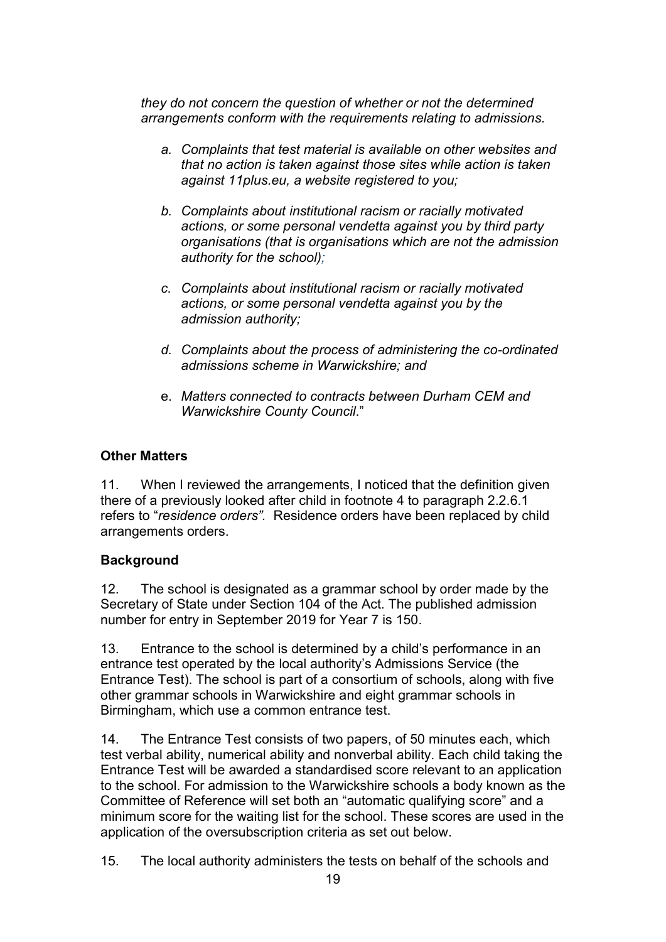they do not concern the question of whether or not the determined arrangements conform with the requirements relating to admissions.

- a. Complaints that test material is available on other websites and that no action is taken against those sites while action is taken against 11plus.eu, a website registered to you;
- b. Complaints about institutional racism or racially motivated actions, or some personal vendetta against you by third party organisations (that is organisations which are not the admission authority for the school);
- c. Complaints about institutional racism or racially motivated actions, or some personal vendetta against you by the admission authority;
- d. Complaints about the process of administering the co-ordinated admissions scheme in Warwickshire; and
- e. Matters connected to contracts between Durham CEM and Warwickshire County Council."

# Other Matters

11. When I reviewed the arrangements, I noticed that the definition given there of a previously looked after child in footnote 4 to paragraph 2.2.6.1 refers to "residence orders". Residence orders have been replaced by child arrangements orders.

# **Background**

12. The school is designated as a grammar school by order made by the Secretary of State under Section 104 of the Act. The published admission number for entry in September 2019 for Year 7 is 150.

13. Entrance to the school is determined by a child's performance in an entrance test operated by the local authority's Admissions Service (the Entrance Test). The school is part of a consortium of schools, along with five other grammar schools in Warwickshire and eight grammar schools in Birmingham, which use a common entrance test.

14. The Entrance Test consists of two papers, of 50 minutes each, which test verbal ability, numerical ability and nonverbal ability. Each child taking the Entrance Test will be awarded a standardised score relevant to an application to the school. For admission to the Warwickshire schools a body known as the Committee of Reference will set both an "automatic qualifying score" and a minimum score for the waiting list for the school. These scores are used in the application of the oversubscription criteria as set out below.

15. The local authority administers the tests on behalf of the schools and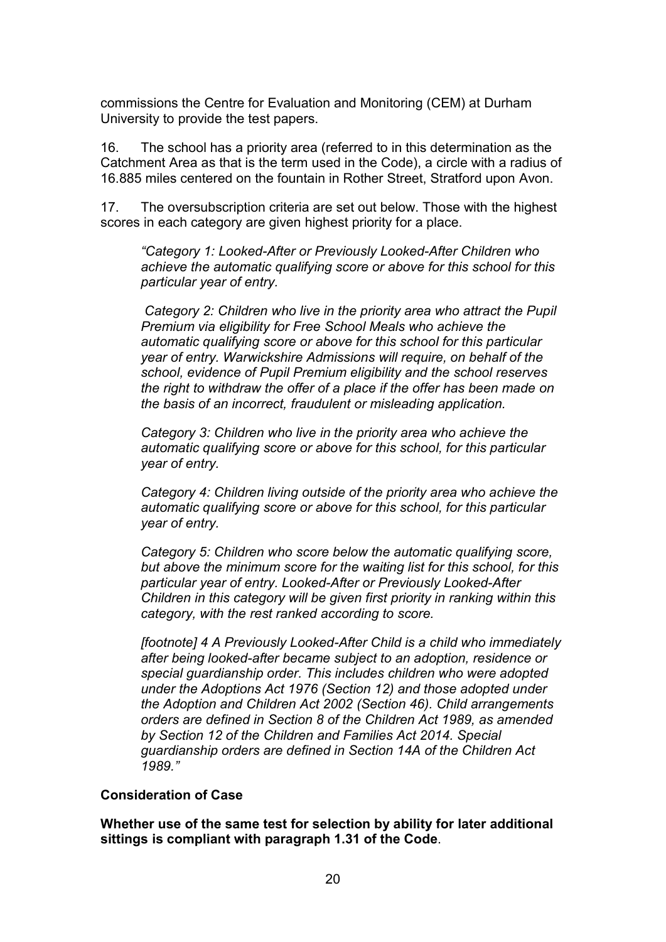commissions the Centre for Evaluation and Monitoring (CEM) at Durham University to provide the test papers.

16. The school has a priority area (referred to in this determination as the Catchment Area as that is the term used in the Code), a circle with a radius of 16.885 miles centered on the fountain in Rother Street, Stratford upon Avon.

17. The oversubscription criteria are set out below. Those with the highest scores in each category are given highest priority for a place.

"Category 1: Looked-After or Previously Looked-After Children who achieve the automatic qualifying score or above for this school for this particular year of entry.

 Category 2: Children who live in the priority area who attract the Pupil Premium via eligibility for Free School Meals who achieve the automatic qualifying score or above for this school for this particular year of entry. Warwickshire Admissions will require, on behalf of the school, evidence of Pupil Premium eligibility and the school reserves the right to withdraw the offer of a place if the offer has been made on the basis of an incorrect, fraudulent or misleading application.

Category 3: Children who live in the priority area who achieve the automatic qualifying score or above for this school, for this particular year of entry.

Category 4: Children living outside of the priority area who achieve the automatic qualifying score or above for this school, for this particular year of entry.

Category 5: Children who score below the automatic qualifying score, but above the minimum score for the waiting list for this school, for this particular year of entry. Looked-After or Previously Looked-After Children in this category will be given first priority in ranking within this category, with the rest ranked according to score.

[footnote] 4 A Previously Looked-After Child is a child who immediately after being looked-after became subject to an adoption, residence or special guardianship order. This includes children who were adopted under the Adoptions Act 1976 (Section 12) and those adopted under the Adoption and Children Act 2002 (Section 46). Child arrangements orders are defined in Section 8 of the Children Act 1989, as amended by Section 12 of the Children and Families Act 2014. Special guardianship orders are defined in Section 14A of the Children Act 1989."

### Consideration of Case

Whether use of the same test for selection by ability for later additional sittings is compliant with paragraph 1.31 of the Code.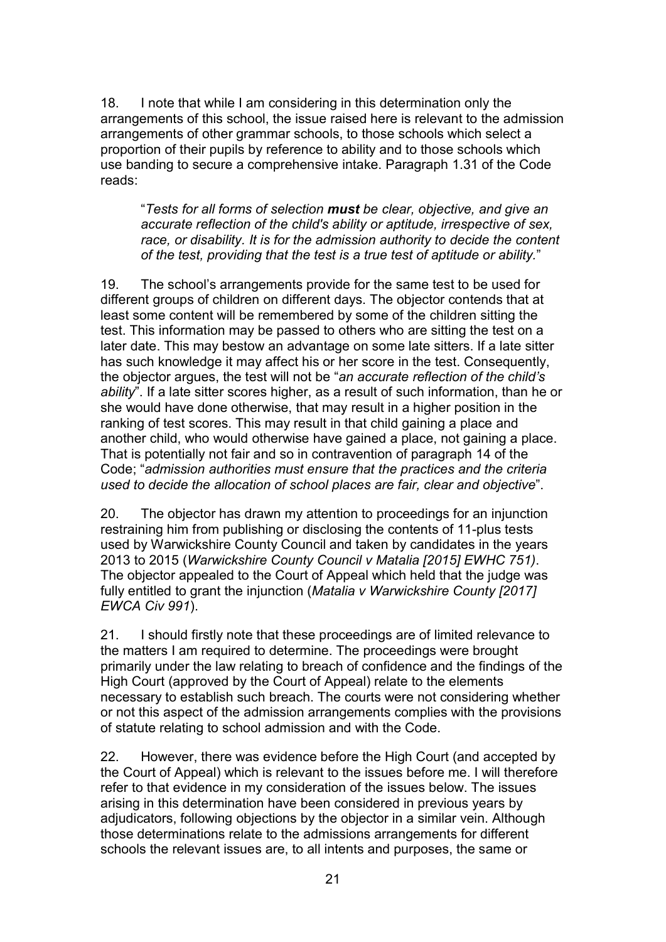18. I note that while I am considering in this determination only the arrangements of this school, the issue raised here is relevant to the admission arrangements of other grammar schools, to those schools which select a proportion of their pupils by reference to ability and to those schools which use banding to secure a comprehensive intake. Paragraph 1.31 of the Code reads:

"Tests for all forms of selection must be clear, objective, and give an accurate reflection of the child's ability or aptitude, irrespective of sex, race, or disability. It is for the admission authority to decide the content of the test, providing that the test is a true test of aptitude or ability."

19. The school's arrangements provide for the same test to be used for different groups of children on different days. The objector contends that at least some content will be remembered by some of the children sitting the test. This information may be passed to others who are sitting the test on a later date. This may bestow an advantage on some late sitters. If a late sitter has such knowledge it may affect his or her score in the test. Consequently, the objector argues, the test will not be "an accurate reflection of the child's ability". If a late sitter scores higher, as a result of such information, than he or she would have done otherwise, that may result in a higher position in the ranking of test scores. This may result in that child gaining a place and another child, who would otherwise have gained a place, not gaining a place. That is potentially not fair and so in contravention of paragraph 14 of the Code; "admission authorities must ensure that the practices and the criteria used to decide the allocation of school places are fair, clear and objective".

20. The objector has drawn my attention to proceedings for an injunction restraining him from publishing or disclosing the contents of 11-plus tests used by Warwickshire County Council and taken by candidates in the years 2013 to 2015 (Warwickshire County Council v Matalia [2015] EWHC 751). The objector appealed to the Court of Appeal which held that the judge was fully entitled to grant the injunction (Matalia v Warwickshire County [2017] EWCA Civ 991).

21. I should firstly note that these proceedings are of limited relevance to the matters I am required to determine. The proceedings were brought primarily under the law relating to breach of confidence and the findings of the High Court (approved by the Court of Appeal) relate to the elements necessary to establish such breach. The courts were not considering whether or not this aspect of the admission arrangements complies with the provisions of statute relating to school admission and with the Code.

22. However, there was evidence before the High Court (and accepted by the Court of Appeal) which is relevant to the issues before me. I will therefore refer to that evidence in my consideration of the issues below. The issues arising in this determination have been considered in previous years by adjudicators, following objections by the objector in a similar vein. Although those determinations relate to the admissions arrangements for different schools the relevant issues are, to all intents and purposes, the same or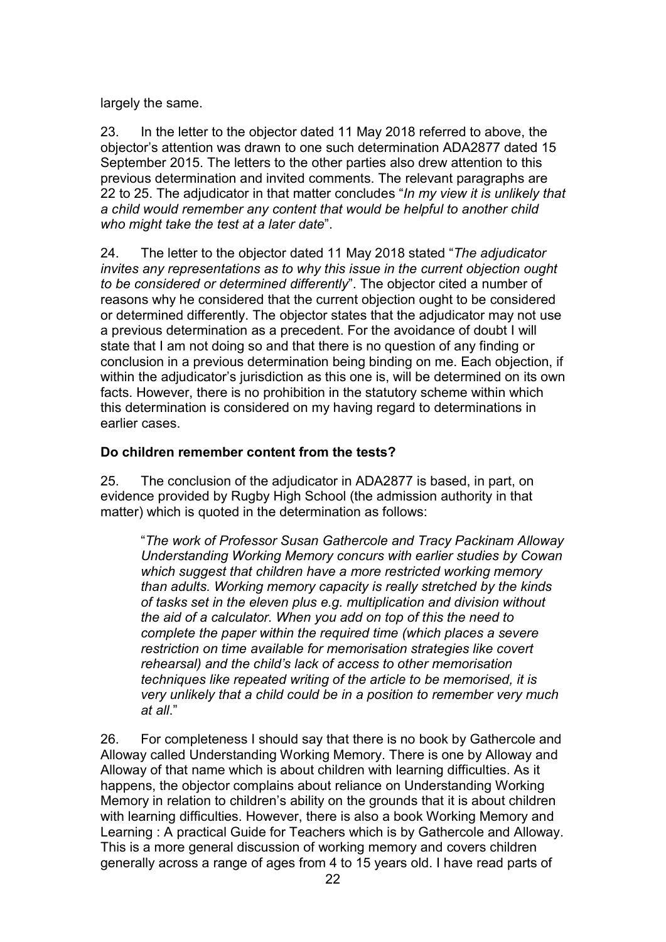largely the same.

23. In the letter to the objector dated 11 May 2018 referred to above, the objector's attention was drawn to one such determination ADA2877 dated 15 September 2015. The letters to the other parties also drew attention to this previous determination and invited comments. The relevant paragraphs are 22 to 25. The adjudicator in that matter concludes "In my view it is unlikely that a child would remember any content that would be helpful to another child who might take the test at a later date".

24. The letter to the objector dated 11 May 2018 stated "The adjudicator invites any representations as to why this issue in the current objection ought to be considered or determined differently". The objector cited a number of reasons why he considered that the current objection ought to be considered or determined differently. The objector states that the adjudicator may not use a previous determination as a precedent. For the avoidance of doubt I will state that I am not doing so and that there is no question of any finding or conclusion in a previous determination being binding on me. Each objection, if within the adjudicator's jurisdiction as this one is, will be determined on its own facts. However, there is no prohibition in the statutory scheme within which this determination is considered on my having regard to determinations in earlier cases.

# Do children remember content from the tests?

25. The conclusion of the adjudicator in ADA2877 is based, in part, on evidence provided by Rugby High School (the admission authority in that matter) which is quoted in the determination as follows:

"The work of Professor Susan Gathercole and Tracy Packinam Alloway Understanding Working Memory concurs with earlier studies by Cowan which suggest that children have a more restricted working memory than adults. Working memory capacity is really stretched by the kinds of tasks set in the eleven plus e.g. multiplication and division without the aid of a calculator. When you add on top of this the need to complete the paper within the required time (which places a severe restriction on time available for memorisation strategies like covert rehearsal) and the child's lack of access to other memorisation techniques like repeated writing of the article to be memorised, it is very unlikely that a child could be in a position to remember very much  $at$  all."

26. For completeness I should say that there is no book by Gathercole and Alloway called Understanding Working Memory. There is one by Alloway and Alloway of that name which is about children with learning difficulties. As it happens, the objector complains about reliance on Understanding Working Memory in relation to children's ability on the grounds that it is about children with learning difficulties. However, there is also a book Working Memory and Learning : A practical Guide for Teachers which is by Gathercole and Alloway. This is a more general discussion of working memory and covers children generally across a range of ages from 4 to 15 years old. I have read parts of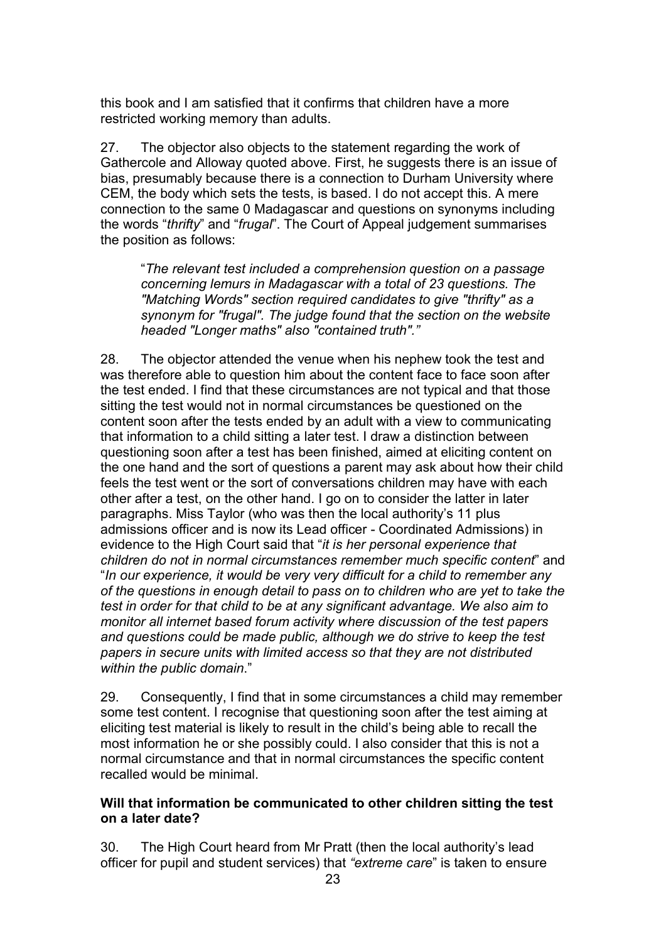this book and I am satisfied that it confirms that children have a more restricted working memory than adults.

27. The objector also objects to the statement regarding the work of Gathercole and Alloway quoted above. First, he suggests there is an issue of bias, presumably because there is a connection to Durham University where CEM, the body which sets the tests, is based. I do not accept this. A mere connection to the same 0 Madagascar and questions on synonyms including the words "thrifty" and "frugal". The Court of Appeal judgement summarises the position as follows:

"The relevant test included a comprehension question on a passage concerning lemurs in Madagascar with a total of 23 questions. The "Matching Words" section required candidates to give "thrifty" as a synonym for "frugal". The judge found that the section on the website headed "Longer maths" also "contained truth"."

28. The objector attended the venue when his nephew took the test and was therefore able to question him about the content face to face soon after the test ended. I find that these circumstances are not typical and that those sitting the test would not in normal circumstances be questioned on the content soon after the tests ended by an adult with a view to communicating that information to a child sitting a later test. I draw a distinction between questioning soon after a test has been finished, aimed at eliciting content on the one hand and the sort of questions a parent may ask about how their child feels the test went or the sort of conversations children may have with each other after a test, on the other hand. I go on to consider the latter in later paragraphs. Miss Taylor (who was then the local authority's 11 plus admissions officer and is now its Lead officer - Coordinated Admissions) in evidence to the High Court said that "it is her personal experience that children do not in normal circumstances remember much specific content" and "In our experience, it would be very very difficult for a child to remember any of the questions in enough detail to pass on to children who are yet to take the test in order for that child to be at any significant advantage. We also aim to monitor all internet based forum activity where discussion of the test papers and questions could be made public, although we do strive to keep the test papers in secure units with limited access so that they are not distributed within the public domain."

29. Consequently, I find that in some circumstances a child may remember some test content. I recognise that questioning soon after the test aiming at eliciting test material is likely to result in the child's being able to recall the most information he or she possibly could. I also consider that this is not a normal circumstance and that in normal circumstances the specific content recalled would be minimal.

## Will that information be communicated to other children sitting the test on a later date?

30. The High Court heard from Mr Pratt (then the local authority's lead officer for pupil and student services) that "extreme care" is taken to ensure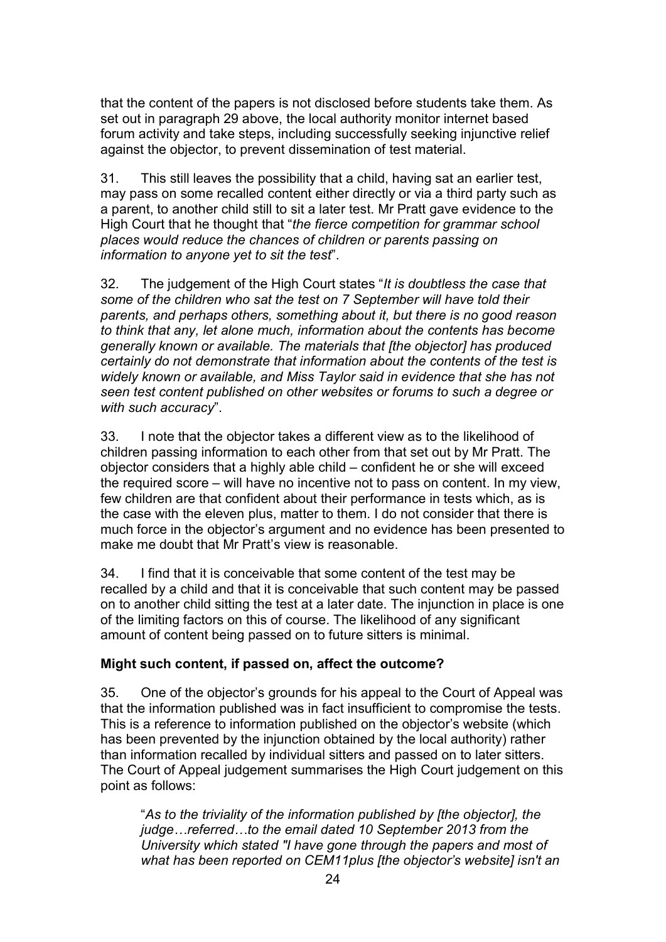that the content of the papers is not disclosed before students take them. As set out in paragraph 29 above, the local authority monitor internet based forum activity and take steps, including successfully seeking injunctive relief against the objector, to prevent dissemination of test material.

31. This still leaves the possibility that a child, having sat an earlier test, may pass on some recalled content either directly or via a third party such as a parent, to another child still to sit a later test. Mr Pratt gave evidence to the High Court that he thought that "the fierce competition for grammar school places would reduce the chances of children or parents passing on information to anyone yet to sit the test".

32. The judgement of the High Court states "It is doubtless the case that some of the children who sat the test on 7 September will have told their parents, and perhaps others, something about it, but there is no good reason to think that any, let alone much, information about the contents has become generally known or available. The materials that [the objector] has produced certainly do not demonstrate that information about the contents of the test is widely known or available, and Miss Taylor said in evidence that she has not seen test content published on other websites or forums to such a degree or with such accuracy".

33. I note that the objector takes a different view as to the likelihood of children passing information to each other from that set out by Mr Pratt. The objector considers that a highly able child – confident he or she will exceed the required score – will have no incentive not to pass on content. In my view, few children are that confident about their performance in tests which, as is the case with the eleven plus, matter to them. I do not consider that there is much force in the objector's argument and no evidence has been presented to make me doubt that Mr Pratt's view is reasonable.

34. I find that it is conceivable that some content of the test may be recalled by a child and that it is conceivable that such content may be passed on to another child sitting the test at a later date. The injunction in place is one of the limiting factors on this of course. The likelihood of any significant amount of content being passed on to future sitters is minimal.

# Might such content, if passed on, affect the outcome?

35. One of the objector's grounds for his appeal to the Court of Appeal was that the information published was in fact insufficient to compromise the tests. This is a reference to information published on the objector's website (which has been prevented by the injunction obtained by the local authority) rather than information recalled by individual sitters and passed on to later sitters. The Court of Appeal judgement summarises the High Court judgement on this point as follows:

"As to the triviality of the information published by [the objector], the judge…referred…to the email dated 10 September 2013 from the University which stated "I have gone through the papers and most of what has been reported on CEM11plus [the objector's website] isn't an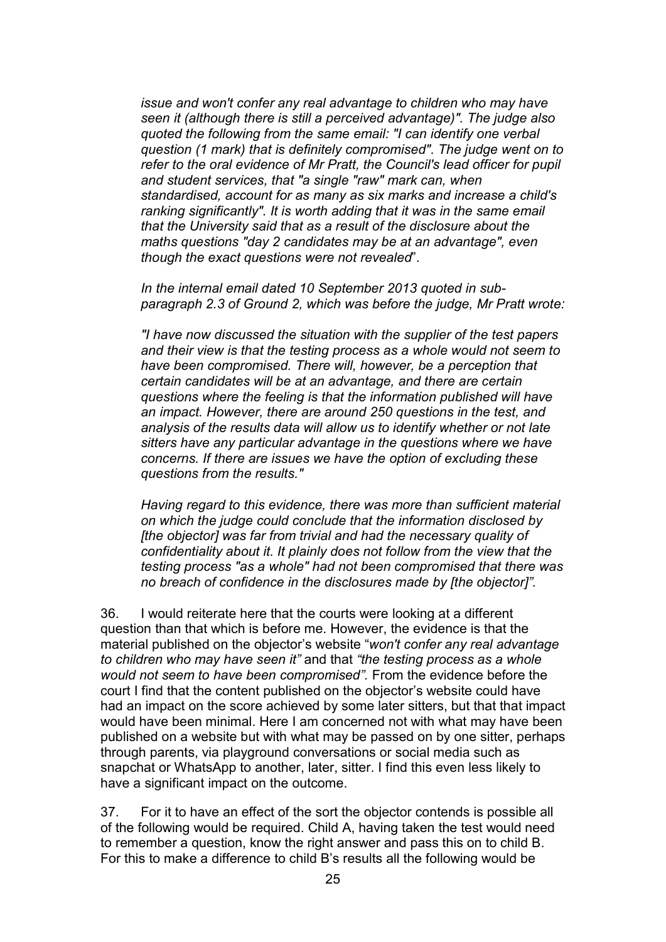issue and won't confer any real advantage to children who may have seen it (although there is still a perceived advantage)". The judge also quoted the following from the same email: "I can identify one verbal question (1 mark) that is definitely compromised". The judge went on to refer to the oral evidence of Mr Pratt, the Council's lead officer for pupil and student services, that "a single "raw" mark can, when standardised, account for as many as six marks and increase a child's ranking significantly". It is worth adding that it was in the same email that the University said that as a result of the disclosure about the maths questions "day 2 candidates may be at an advantage", even though the exact questions were not revealed".

In the internal email dated 10 September 2013 quoted in subparagraph 2.3 of Ground 2, which was before the judge, Mr Pratt wrote:

"I have now discussed the situation with the supplier of the test papers and their view is that the testing process as a whole would not seem to have been compromised. There will, however, be a perception that certain candidates will be at an advantage, and there are certain questions where the feeling is that the information published will have an impact. However, there are around 250 questions in the test, and analysis of the results data will allow us to identify whether or not late sitters have any particular advantage in the questions where we have concerns. If there are issues we have the option of excluding these questions from the results."

Having regard to this evidence, there was more than sufficient material on which the judge could conclude that the information disclosed by [the objector] was far from trivial and had the necessary quality of confidentiality about it. It plainly does not follow from the view that the testing process "as a whole" had not been compromised that there was no breach of confidence in the disclosures made by [the objector]".

36. I would reiterate here that the courts were looking at a different question than that which is before me. However, the evidence is that the material published on the objector's website "won't confer any real advantage to children who may have seen it" and that "the testing process as a whole would not seem to have been compromised". From the evidence before the court I find that the content published on the objector's website could have had an impact on the score achieved by some later sitters, but that that impact would have been minimal. Here I am concerned not with what may have been published on a website but with what may be passed on by one sitter, perhaps through parents, via playground conversations or social media such as snapchat or WhatsApp to another, later, sitter. I find this even less likely to have a significant impact on the outcome.

37. For it to have an effect of the sort the objector contends is possible all of the following would be required. Child A, having taken the test would need to remember a question, know the right answer and pass this on to child B. For this to make a difference to child B's results all the following would be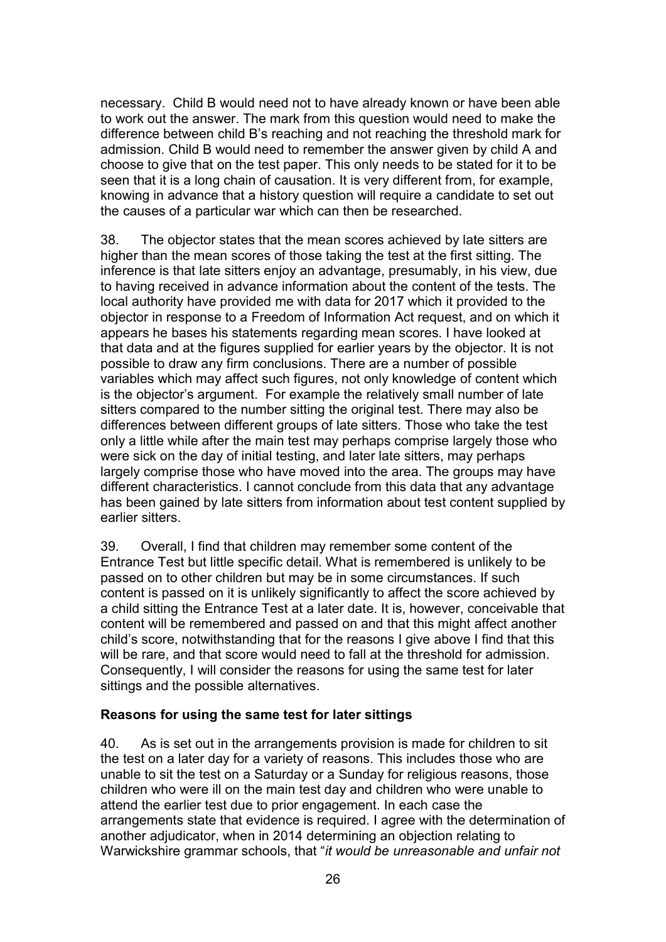necessary. Child B would need not to have already known or have been able to work out the answer. The mark from this question would need to make the difference between child B's reaching and not reaching the threshold mark for admission. Child B would need to remember the answer given by child A and choose to give that on the test paper. This only needs to be stated for it to be seen that it is a long chain of causation. It is very different from, for example, knowing in advance that a history question will require a candidate to set out the causes of a particular war which can then be researched.

38. The objector states that the mean scores achieved by late sitters are higher than the mean scores of those taking the test at the first sitting. The inference is that late sitters enjoy an advantage, presumably, in his view, due to having received in advance information about the content of the tests. The local authority have provided me with data for 2017 which it provided to the objector in response to a Freedom of Information Act request, and on which it appears he bases his statements regarding mean scores. I have looked at that data and at the figures supplied for earlier years by the objector. It is not possible to draw any firm conclusions. There are a number of possible variables which may affect such figures, not only knowledge of content which is the objector's argument. For example the relatively small number of late sitters compared to the number sitting the original test. There may also be differences between different groups of late sitters. Those who take the test only a little while after the main test may perhaps comprise largely those who were sick on the day of initial testing, and later late sitters, may perhaps largely comprise those who have moved into the area. The groups may have different characteristics. I cannot conclude from this data that any advantage has been gained by late sitters from information about test content supplied by earlier sitters.

39. Overall, I find that children may remember some content of the Entrance Test but little specific detail. What is remembered is unlikely to be passed on to other children but may be in some circumstances. If such content is passed on it is unlikely significantly to affect the score achieved by a child sitting the Entrance Test at a later date. It is, however, conceivable that content will be remembered and passed on and that this might affect another child's score, notwithstanding that for the reasons I give above I find that this will be rare, and that score would need to fall at the threshold for admission. Consequently, I will consider the reasons for using the same test for later sittings and the possible alternatives.

### Reasons for using the same test for later sittings

40. As is set out in the arrangements provision is made for children to sit the test on a later day for a variety of reasons. This includes those who are unable to sit the test on a Saturday or a Sunday for religious reasons, those children who were ill on the main test day and children who were unable to attend the earlier test due to prior engagement. In each case the arrangements state that evidence is required. I agree with the determination of another adjudicator, when in 2014 determining an objection relating to Warwickshire grammar schools, that "*it would be unreasonable and unfair not*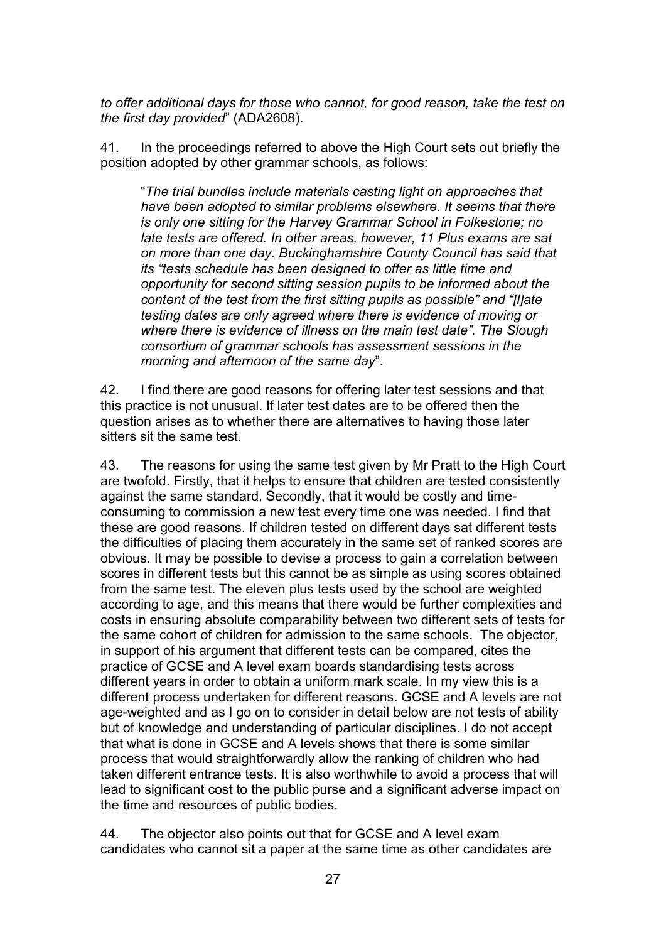to offer additional days for those who cannot, for good reason, take the test on the first day provided" (ADA2608).

41. In the proceedings referred to above the High Court sets out briefly the position adopted by other grammar schools, as follows:

"The trial bundles include materials casting light on approaches that have been adopted to similar problems elsewhere. It seems that there is only one sitting for the Harvey Grammar School in Folkestone; no late tests are offered. In other areas, however, 11 Plus exams are sat on more than one day. Buckinghamshire County Council has said that its "tests schedule has been designed to offer as little time and opportunity for second sitting session pupils to be informed about the content of the test from the first sitting pupils as possible" and "[l]ate testing dates are only agreed where there is evidence of moving or where there is evidence of illness on the main test date". The Slough consortium of grammar schools has assessment sessions in the morning and afternoon of the same day".

42. I find there are good reasons for offering later test sessions and that this practice is not unusual. If later test dates are to be offered then the question arises as to whether there are alternatives to having those later sitters sit the same test.

43. The reasons for using the same test given by Mr Pratt to the High Court are twofold. Firstly, that it helps to ensure that children are tested consistently against the same standard. Secondly, that it would be costly and timeconsuming to commission a new test every time one was needed. I find that these are good reasons. If children tested on different days sat different tests the difficulties of placing them accurately in the same set of ranked scores are obvious. It may be possible to devise a process to gain a correlation between scores in different tests but this cannot be as simple as using scores obtained from the same test. The eleven plus tests used by the school are weighted according to age, and this means that there would be further complexities and costs in ensuring absolute comparability between two different sets of tests for the same cohort of children for admission to the same schools. The objector, in support of his argument that different tests can be compared, cites the practice of GCSE and A level exam boards standardising tests across different years in order to obtain a uniform mark scale. In my view this is a different process undertaken for different reasons. GCSE and A levels are not age-weighted and as I go on to consider in detail below are not tests of ability but of knowledge and understanding of particular disciplines. I do not accept that what is done in GCSE and A levels shows that there is some similar process that would straightforwardly allow the ranking of children who had taken different entrance tests. It is also worthwhile to avoid a process that will lead to significant cost to the public purse and a significant adverse impact on the time and resources of public bodies.

44. The objector also points out that for GCSE and A level exam candidates who cannot sit a paper at the same time as other candidates are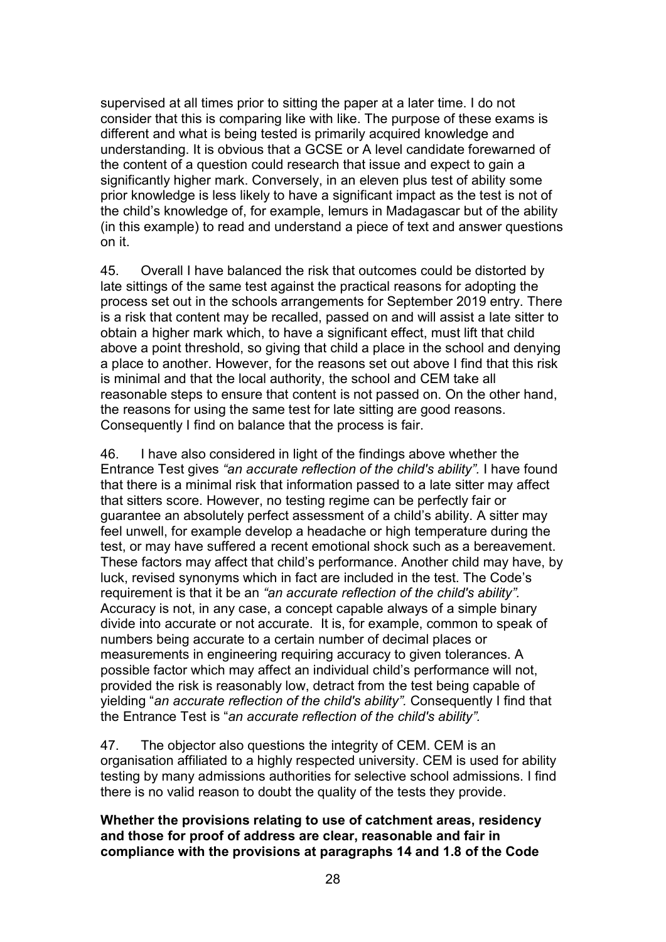supervised at all times prior to sitting the paper at a later time. I do not consider that this is comparing like with like. The purpose of these exams is different and what is being tested is primarily acquired knowledge and understanding. It is obvious that a GCSE or A level candidate forewarned of the content of a question could research that issue and expect to gain a significantly higher mark. Conversely, in an eleven plus test of ability some prior knowledge is less likely to have a significant impact as the test is not of the child's knowledge of, for example, lemurs in Madagascar but of the ability (in this example) to read and understand a piece of text and answer questions on it.

45. Overall I have balanced the risk that outcomes could be distorted by late sittings of the same test against the practical reasons for adopting the process set out in the schools arrangements for September 2019 entry. There is a risk that content may be recalled, passed on and will assist a late sitter to obtain a higher mark which, to have a significant effect, must lift that child above a point threshold, so giving that child a place in the school and denying a place to another. However, for the reasons set out above I find that this risk is minimal and that the local authority, the school and CEM take all reasonable steps to ensure that content is not passed on. On the other hand, the reasons for using the same test for late sitting are good reasons. Consequently I find on balance that the process is fair.

46. I have also considered in light of the findings above whether the Entrance Test gives "an accurate reflection of the child's ability". I have found that there is a minimal risk that information passed to a late sitter may affect that sitters score. However, no testing regime can be perfectly fair or guarantee an absolutely perfect assessment of a child's ability. A sitter may feel unwell, for example develop a headache or high temperature during the test, or may have suffered a recent emotional shock such as a bereavement. These factors may affect that child's performance. Another child may have, by luck, revised synonyms which in fact are included in the test. The Code's requirement is that it be an "an accurate reflection of the child's ability". Accuracy is not, in any case, a concept capable always of a simple binary divide into accurate or not accurate. It is, for example, common to speak of numbers being accurate to a certain number of decimal places or measurements in engineering requiring accuracy to given tolerances. A possible factor which may affect an individual child's performance will not, provided the risk is reasonably low, detract from the test being capable of yielding "an accurate reflection of the child's ability". Consequently I find that the Entrance Test is "an accurate reflection of the child's ability".

47. The objector also questions the integrity of CEM. CEM is an organisation affiliated to a highly respected university. CEM is used for ability testing by many admissions authorities for selective school admissions. I find there is no valid reason to doubt the quality of the tests they provide.

#### Whether the provisions relating to use of catchment areas, residency and those for proof of address are clear, reasonable and fair in compliance with the provisions at paragraphs 14 and 1.8 of the Code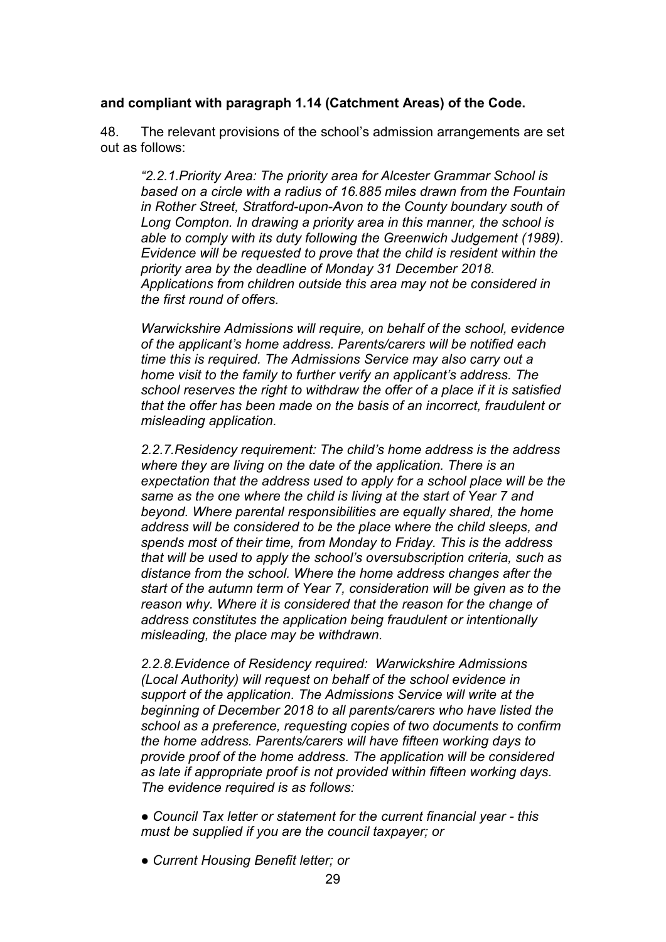### and compliant with paragraph 1.14 (Catchment Areas) of the Code.

48. The relevant provisions of the school's admission arrangements are set out as follows:

"2.2.1.Priority Area: The priority area for Alcester Grammar School is based on a circle with a radius of 16.885 miles drawn from the Fountain in Rother Street, Stratford-upon-Avon to the County boundary south of Long Compton. In drawing a priority area in this manner, the school is able to comply with its duty following the Greenwich Judgement (1989). Evidence will be requested to prove that the child is resident within the priority area by the deadline of Monday 31 December 2018. Applications from children outside this area may not be considered in the first round of offers.

Warwickshire Admissions will require, on behalf of the school, evidence of the applicant's home address. Parents/carers will be notified each time this is required. The Admissions Service may also carry out a home visit to the family to further verify an applicant's address. The school reserves the right to withdraw the offer of a place if it is satisfied that the offer has been made on the basis of an incorrect, fraudulent or misleading application.

2.2.7.Residency requirement: The child's home address is the address where they are living on the date of the application. There is an expectation that the address used to apply for a school place will be the same as the one where the child is living at the start of Year 7 and beyond. Where parental responsibilities are equally shared, the home address will be considered to be the place where the child sleeps, and spends most of their time, from Monday to Friday. This is the address that will be used to apply the school's oversubscription criteria, such as distance from the school. Where the home address changes after the start of the autumn term of Year 7, consideration will be given as to the reason why. Where it is considered that the reason for the change of address constitutes the application being fraudulent or intentionally misleading, the place may be withdrawn.

2.2.8.Evidence of Residency required: Warwickshire Admissions (Local Authority) will request on behalf of the school evidence in support of the application. The Admissions Service will write at the beginning of December 2018 to all parents/carers who have listed the school as a preference, requesting copies of two documents to confirm the home address. Parents/carers will have fifteen working days to provide proof of the home address. The application will be considered as late if appropriate proof is not provided within fifteen working days. The evidence required is as follows:

- Council Tax letter or statement for the current financial year this must be supplied if you are the council taxpayer; or
- Current Housing Benefit letter; or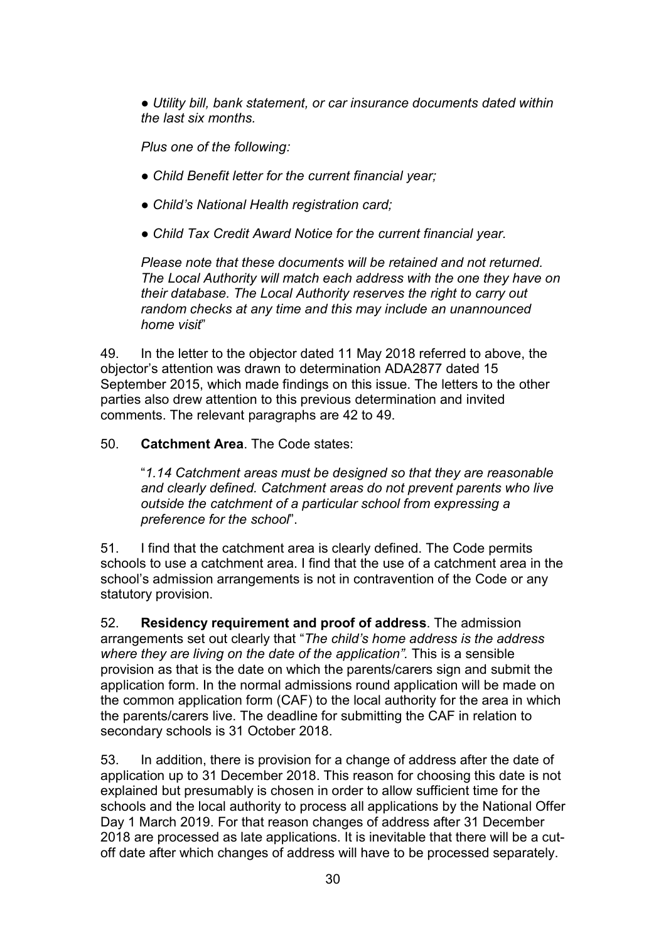● Utility bill, bank statement, or car insurance documents dated within the last six months.

Plus one of the following:

- Child Benefit letter for the current financial year;
- Child's National Health registration card;
- Child Tax Credit Award Notice for the current financial year.

Please note that these documents will be retained and not returned. The Local Authority will match each address with the one they have on their database. The Local Authority reserves the right to carry out random checks at any time and this may include an unannounced home visit"

49. In the letter to the objector dated 11 May 2018 referred to above, the objector's attention was drawn to determination ADA2877 dated 15 September 2015, which made findings on this issue. The letters to the other parties also drew attention to this previous determination and invited comments. The relevant paragraphs are 42 to 49.

50. Catchment Area. The Code states:

"1.14 Catchment areas must be designed so that they are reasonable and clearly defined. Catchment areas do not prevent parents who live outside the catchment of a particular school from expressing a preference for the school".

51. I find that the catchment area is clearly defined. The Code permits schools to use a catchment area. I find that the use of a catchment area in the school's admission arrangements is not in contravention of the Code or any statutory provision.

52. Residency requirement and proof of address. The admission arrangements set out clearly that "The child's home address is the address where they are living on the date of the application". This is a sensible provision as that is the date on which the parents/carers sign and submit the application form. In the normal admissions round application will be made on the common application form (CAF) to the local authority for the area in which the parents/carers live. The deadline for submitting the CAF in relation to secondary schools is 31 October 2018.

53. In addition, there is provision for a change of address after the date of application up to 31 December 2018. This reason for choosing this date is not explained but presumably is chosen in order to allow sufficient time for the schools and the local authority to process all applications by the National Offer Day 1 March 2019. For that reason changes of address after 31 December 2018 are processed as late applications. It is inevitable that there will be a cutoff date after which changes of address will have to be processed separately.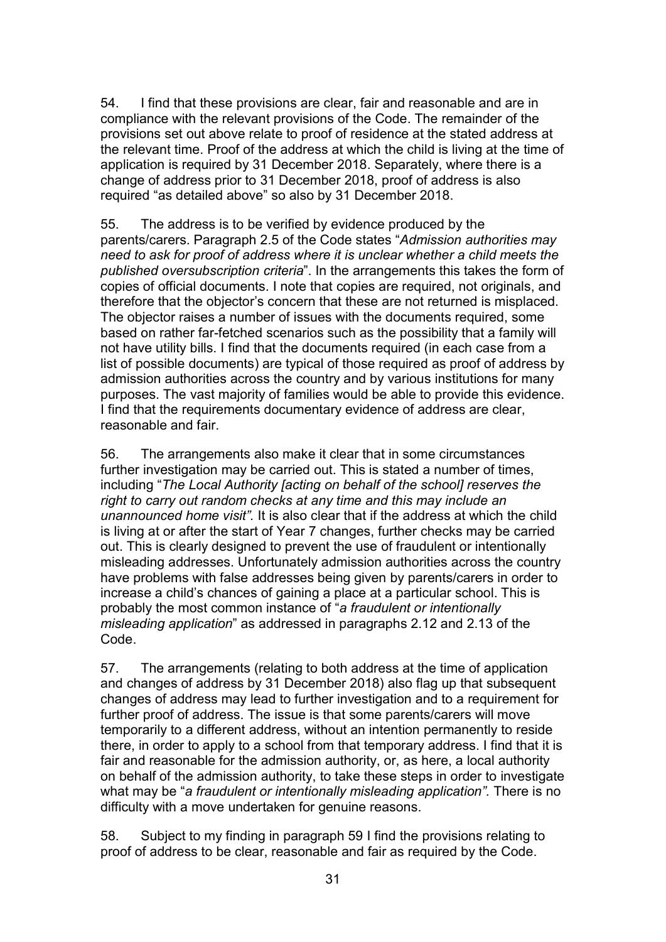54. I find that these provisions are clear, fair and reasonable and are in compliance with the relevant provisions of the Code. The remainder of the provisions set out above relate to proof of residence at the stated address at the relevant time. Proof of the address at which the child is living at the time of application is required by 31 December 2018. Separately, where there is a change of address prior to 31 December 2018, proof of address is also required "as detailed above" so also by 31 December 2018.

55. The address is to be verified by evidence produced by the parents/carers. Paragraph 2.5 of the Code states "Admission authorities may need to ask for proof of address where it is unclear whether a child meets the published oversubscription criteria". In the arrangements this takes the form of copies of official documents. I note that copies are required, not originals, and therefore that the objector's concern that these are not returned is misplaced. The objector raises a number of issues with the documents required, some based on rather far-fetched scenarios such as the possibility that a family will not have utility bills. I find that the documents required (in each case from a list of possible documents) are typical of those required as proof of address by admission authorities across the country and by various institutions for many purposes. The vast majority of families would be able to provide this evidence. I find that the requirements documentary evidence of address are clear, reasonable and fair.

56. The arrangements also make it clear that in some circumstances further investigation may be carried out. This is stated a number of times, including "The Local Authority [acting on behalf of the school] reserves the right to carry out random checks at any time and this may include an unannounced home visit". It is also clear that if the address at which the child is living at or after the start of Year 7 changes, further checks may be carried out. This is clearly designed to prevent the use of fraudulent or intentionally misleading addresses. Unfortunately admission authorities across the country have problems with false addresses being given by parents/carers in order to increase a child's chances of gaining a place at a particular school. This is probably the most common instance of "a fraudulent or intentionally misleading application" as addressed in paragraphs 2.12 and 2.13 of the Code.

57. The arrangements (relating to both address at the time of application and changes of address by 31 December 2018) also flag up that subsequent changes of address may lead to further investigation and to a requirement for further proof of address. The issue is that some parents/carers will move temporarily to a different address, without an intention permanently to reside there, in order to apply to a school from that temporary address. I find that it is fair and reasonable for the admission authority, or, as here, a local authority on behalf of the admission authority, to take these steps in order to investigate what may be "a fraudulent or intentionally misleading application". There is no difficulty with a move undertaken for genuine reasons.

58. Subject to my finding in paragraph 59 I find the provisions relating to proof of address to be clear, reasonable and fair as required by the Code.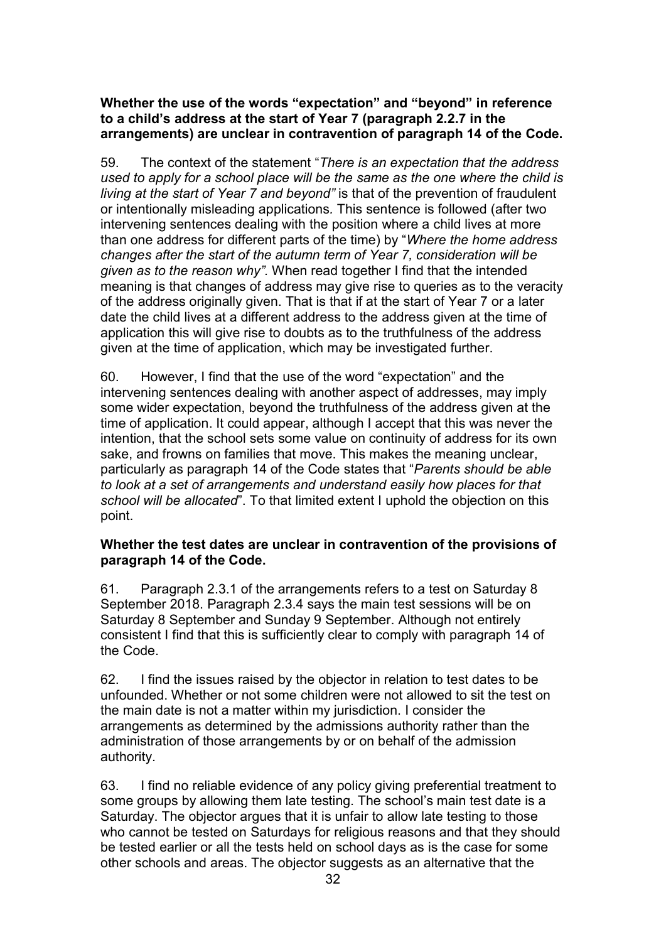### Whether the use of the words "expectation" and "beyond" in reference to a child's address at the start of Year 7 (paragraph 2.2.7 in the arrangements) are unclear in contravention of paragraph 14 of the Code.

59. The context of the statement "There is an expectation that the address" used to apply for a school place will be the same as the one where the child is living at the start of Year 7 and beyond" is that of the prevention of fraudulent or intentionally misleading applications. This sentence is followed (after two intervening sentences dealing with the position where a child lives at more than one address for different parts of the time) by "Where the home address changes after the start of the autumn term of Year 7, consideration will be given as to the reason why". When read together I find that the intended meaning is that changes of address may give rise to queries as to the veracity of the address originally given. That is that if at the start of Year 7 or a later date the child lives at a different address to the address given at the time of application this will give rise to doubts as to the truthfulness of the address given at the time of application, which may be investigated further.

60. However, I find that the use of the word "expectation" and the intervening sentences dealing with another aspect of addresses, may imply some wider expectation, beyond the truthfulness of the address given at the time of application. It could appear, although I accept that this was never the intention, that the school sets some value on continuity of address for its own sake, and frowns on families that move. This makes the meaning unclear, particularly as paragraph 14 of the Code states that "Parents should be able to look at a set of arrangements and understand easily how places for that school will be allocated". To that limited extent I uphold the objection on this point.

#### Whether the test dates are unclear in contravention of the provisions of paragraph 14 of the Code.

61. Paragraph 2.3.1 of the arrangements refers to a test on Saturday 8 September 2018. Paragraph 2.3.4 says the main test sessions will be on Saturday 8 September and Sunday 9 September. Although not entirely consistent I find that this is sufficiently clear to comply with paragraph 14 of the Code.

62. I find the issues raised by the objector in relation to test dates to be unfounded. Whether or not some children were not allowed to sit the test on the main date is not a matter within my jurisdiction. I consider the arrangements as determined by the admissions authority rather than the administration of those arrangements by or on behalf of the admission authority.

63. I find no reliable evidence of any policy giving preferential treatment to some groups by allowing them late testing. The school's main test date is a Saturday. The objector argues that it is unfair to allow late testing to those who cannot be tested on Saturdays for religious reasons and that they should be tested earlier or all the tests held on school days as is the case for some other schools and areas. The objector suggests as an alternative that the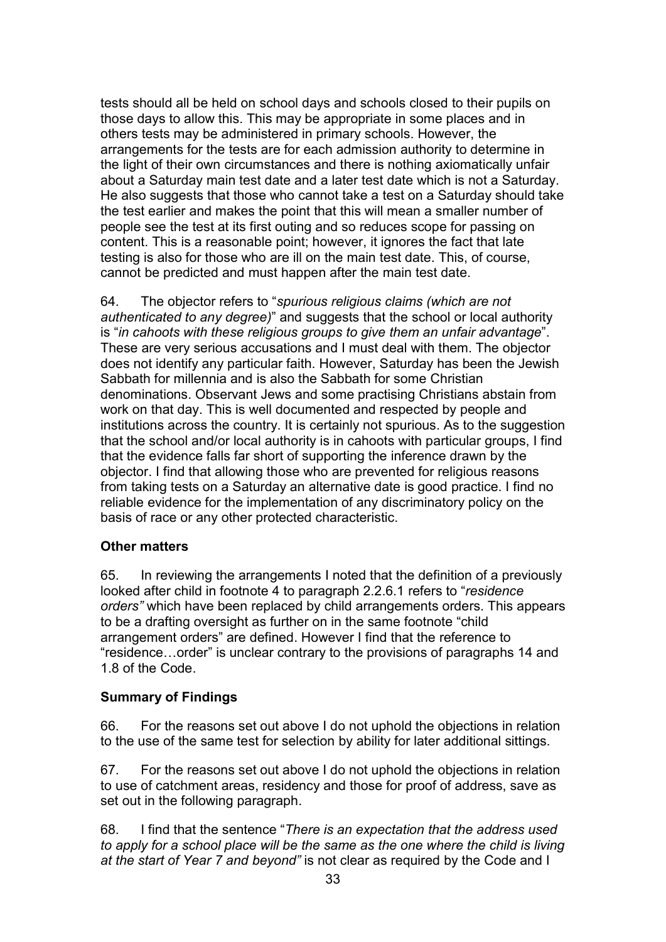tests should all be held on school days and schools closed to their pupils on those days to allow this. This may be appropriate in some places and in others tests may be administered in primary schools. However, the arrangements for the tests are for each admission authority to determine in the light of their own circumstances and there is nothing axiomatically unfair about a Saturday main test date and a later test date which is not a Saturday. He also suggests that those who cannot take a test on a Saturday should take the test earlier and makes the point that this will mean a smaller number of people see the test at its first outing and so reduces scope for passing on content. This is a reasonable point; however, it ignores the fact that late testing is also for those who are ill on the main test date. This, of course, cannot be predicted and must happen after the main test date.

64. The objector refers to "spurious religious claims (which are not authenticated to any degree)" and suggests that the school or local authority is "in cahoots with these religious groups to give them an unfair advantage". These are very serious accusations and I must deal with them. The objector does not identify any particular faith. However, Saturday has been the Jewish Sabbath for millennia and is also the Sabbath for some Christian denominations. Observant Jews and some practising Christians abstain from work on that day. This is well documented and respected by people and institutions across the country. It is certainly not spurious. As to the suggestion that the school and/or local authority is in cahoots with particular groups, I find that the evidence falls far short of supporting the inference drawn by the objector. I find that allowing those who are prevented for religious reasons from taking tests on a Saturday an alternative date is good practice. I find no reliable evidence for the implementation of any discriminatory policy on the basis of race or any other protected characteristic.

# Other matters

65. In reviewing the arrangements I noted that the definition of a previously looked after child in footnote 4 to paragraph 2.2.6.1 refers to "residence orders" which have been replaced by child arrangements orders. This appears to be a drafting oversight as further on in the same footnote "child arrangement orders" are defined. However I find that the reference to "residence…order" is unclear contrary to the provisions of paragraphs 14 and 1.8 of the Code.

### Summary of Findings

66. For the reasons set out above I do not uphold the objections in relation to the use of the same test for selection by ability for later additional sittings.

67. For the reasons set out above I do not uphold the objections in relation to use of catchment areas, residency and those for proof of address, save as set out in the following paragraph.

68. I find that the sentence "There is an expectation that the address used to apply for a school place will be the same as the one where the child is living at the start of Year 7 and beyond" is not clear as required by the Code and I